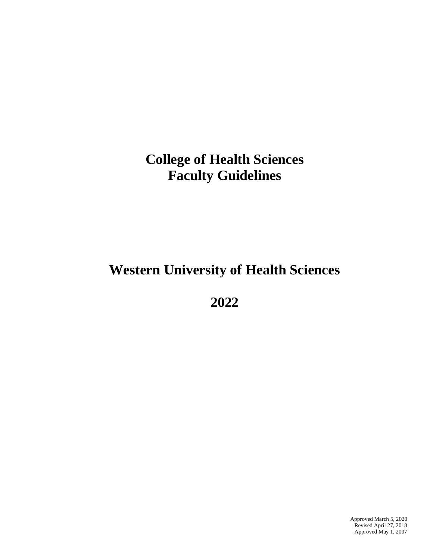# **College of Health Sciences Faculty Guidelines**

# **Western University of Health Sciences**

**2022**

Approved March 5, 2020 Revised April 27, 2018 Approved May 1, 2007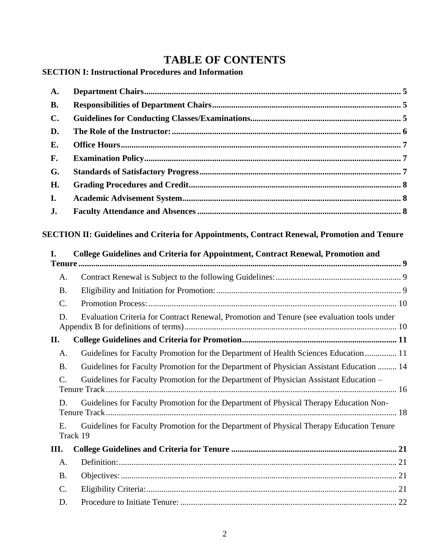# **TABLE OF CONTENTS**

# **SECTION I: Instructional Procedures and Information**

| A.              |                                                                                                      |  |  |  |  |
|-----------------|------------------------------------------------------------------------------------------------------|--|--|--|--|
| <b>B.</b>       |                                                                                                      |  |  |  |  |
| $\mathbf{C}$ .  |                                                                                                      |  |  |  |  |
| D.              |                                                                                                      |  |  |  |  |
| Е.              |                                                                                                      |  |  |  |  |
| F.              |                                                                                                      |  |  |  |  |
| G.              |                                                                                                      |  |  |  |  |
| H.              |                                                                                                      |  |  |  |  |
| I.              |                                                                                                      |  |  |  |  |
| J.              |                                                                                                      |  |  |  |  |
| I.              | College Guidelines and Criteria for Appointment, Contract Renewal, Promotion and                     |  |  |  |  |
| A.              |                                                                                                      |  |  |  |  |
| <b>B.</b>       |                                                                                                      |  |  |  |  |
| $\mathcal{C}$ . |                                                                                                      |  |  |  |  |
| D.              | Evaluation Criteria for Contract Renewal, Promotion and Tenure (see evaluation tools under           |  |  |  |  |
| II.             |                                                                                                      |  |  |  |  |
| A.              | Guidelines for Faculty Promotion for the Department of Health Sciences Education 11                  |  |  |  |  |
| <b>B.</b>       | Guidelines for Faculty Promotion for the Department of Physician Assistant Education  14             |  |  |  |  |
| $\mathcal{C}$ . | Guidelines for Faculty Promotion for the Department of Physician Assistant Education -               |  |  |  |  |
| D.              | Guidelines for Faculty Promotion for the Department of Physical Therapy Education Non-               |  |  |  |  |
| Ε.              | Guidelines for Faculty Promotion for the Department of Physical Therapy Education Tenure<br>Track 19 |  |  |  |  |
| Ш.              |                                                                                                      |  |  |  |  |
| A.              |                                                                                                      |  |  |  |  |
| <b>B.</b>       |                                                                                                      |  |  |  |  |
| C.              |                                                                                                      |  |  |  |  |
| D.              |                                                                                                      |  |  |  |  |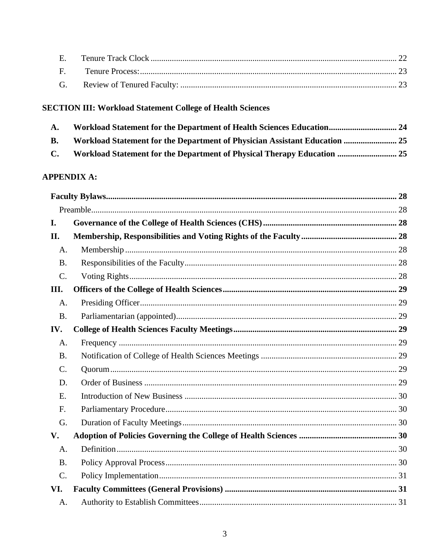# **SECTION III: Workload Statement College of Health Sciences**

| A.             |                                                                            |  |
|----------------|----------------------------------------------------------------------------|--|
| <b>B.</b>      | Workload Statement for the Department of Physician Assistant Education  25 |  |
| $\mathbf{C}$ . | Workload Statement for the Department of Physical Therapy Education  25    |  |

# **APPENDIX A:**

| I.              |  |  |  |  |
|-----------------|--|--|--|--|
| П.              |  |  |  |  |
| A.              |  |  |  |  |
| <b>B.</b>       |  |  |  |  |
| $C$ .           |  |  |  |  |
| III.            |  |  |  |  |
| A.              |  |  |  |  |
| <b>B.</b>       |  |  |  |  |
| IV.             |  |  |  |  |
| A.              |  |  |  |  |
| <b>B.</b>       |  |  |  |  |
| $\mathcal{C}$ . |  |  |  |  |
| D.              |  |  |  |  |
| E.              |  |  |  |  |
| F.              |  |  |  |  |
| G.              |  |  |  |  |
| V.              |  |  |  |  |
| A.              |  |  |  |  |
| <b>B.</b>       |  |  |  |  |
| $\mathcal{C}$ . |  |  |  |  |
| VI.             |  |  |  |  |
| A.              |  |  |  |  |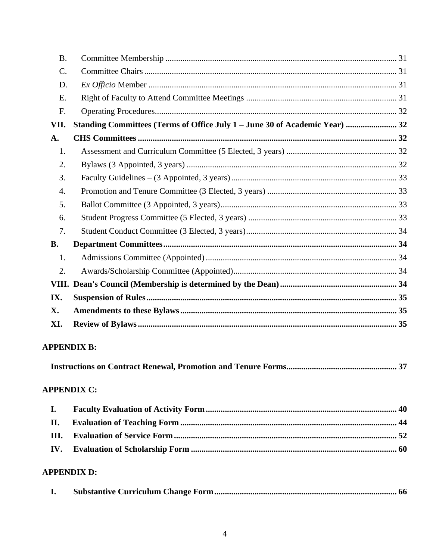| <b>B.</b>       |                                                                             |  |
|-----------------|-----------------------------------------------------------------------------|--|
| $\mathcal{C}$ . |                                                                             |  |
| D.              |                                                                             |  |
| E.              |                                                                             |  |
| F.              |                                                                             |  |
| VII.            | Standing Committees (Terms of Office July 1 - June 30 of Academic Year)  32 |  |
| A.              |                                                                             |  |
| 1.              |                                                                             |  |
| 2.              |                                                                             |  |
| 3.              |                                                                             |  |
| 4.              |                                                                             |  |
| 5.              |                                                                             |  |
| 6.              |                                                                             |  |
| 7.              |                                                                             |  |
| <b>B.</b>       |                                                                             |  |
| 1.              |                                                                             |  |
| 2.              |                                                                             |  |
| VIII.           |                                                                             |  |
| IX.             |                                                                             |  |
| X.              |                                                                             |  |
| XI.             |                                                                             |  |

# **APPENDIX B:**

|--|--|

### **APPENDIX C:**

# **APPENDIX D:**

|--|--|--|--|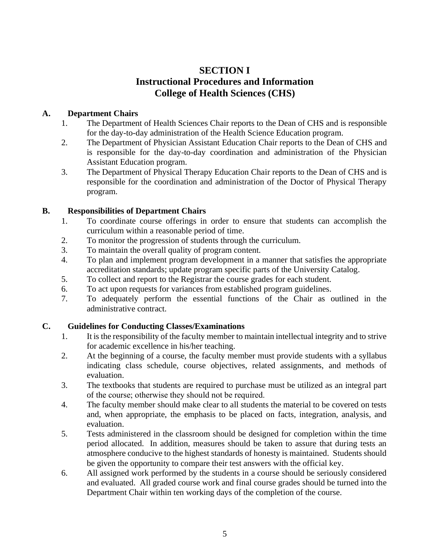# **SECTION I Instructional Procedures and Information College of Health Sciences (CHS)**

#### <span id="page-4-0"></span>**A. Department Chairs**

- 1. The Department of Health Sciences Chair reports to the Dean of CHS and is responsible for the day-to-day administration of the Health Science Education program.
- 2. The Department of Physician Assistant Education Chair reports to the Dean of CHS and is responsible for the day-to-day coordination and administration of the Physician Assistant Education program.
- 3. The Department of Physical Therapy Education Chair reports to the Dean of CHS and is responsible for the coordination and administration of the Doctor of Physical Therapy program.

### <span id="page-4-1"></span>**B. Responsibilities of Department Chairs**

- 1. To coordinate course offerings in order to ensure that students can accomplish the curriculum within a reasonable period of time.
- 2. To monitor the progression of students through the curriculum.
- 3. To maintain the overall quality of program content.
- 4. To plan and implement program development in a manner that satisfies the appropriate accreditation standards; update program specific parts of the University Catalog.
- 5. To collect and report to the Registrar the course grades for each student.
- 6. To act upon requests for variances from established program guidelines.
- 7. To adequately perform the essential functions of the Chair as outlined in the administrative contract.

# <span id="page-4-2"></span>**C. Guidelines for Conducting Classes/Examinations**

- 1. It is the responsibility of the faculty member to maintain intellectual integrity and to strive for academic excellence in his/her teaching.
- 2. At the beginning of a course, the faculty member must provide students with a syllabus indicating class schedule, course objectives, related assignments, and methods of evaluation.
- 3. The textbooks that students are required to purchase must be utilized as an integral part of the course; otherwise they should not be required.
- 4. The faculty member should make clear to all students the material to be covered on tests and, when appropriate, the emphasis to be placed on facts, integration, analysis, and evaluation.
- 5. Tests administered in the classroom should be designed for completion within the time period allocated. In addition, measures should be taken to assure that during tests an atmosphere conducive to the highest standards of honesty is maintained. Students should be given the opportunity to compare their test answers with the official key.
- 6. All assigned work performed by the students in a course should be seriously considered and evaluated. All graded course work and final course grades should be turned into the Department Chair within ten working days of the completion of the course.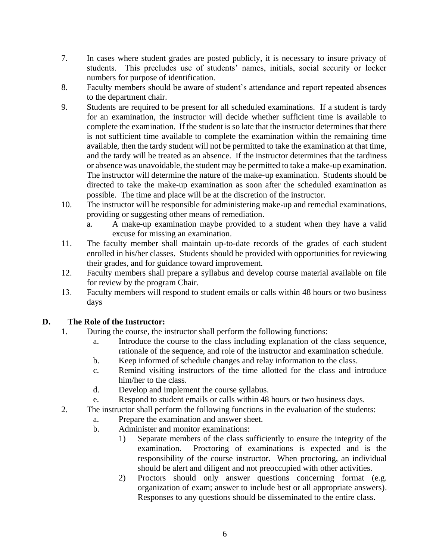- 7. In cases where student grades are posted publicly, it is necessary to insure privacy of students. This precludes use of students' names, initials, social security or locker numbers for purpose of identification.
- 8. Faculty members should be aware of student's attendance and report repeated absences to the department chair.
- 9. Students are required to be present for all scheduled examinations. If a student is tardy for an examination, the instructor will decide whether sufficient time is available to complete the examination. If the student is so late that the instructor determines that there is not sufficient time available to complete the examination within the remaining time available, then the tardy student will not be permitted to take the examination at that time, and the tardy will be treated as an absence. If the instructor determines that the tardiness or absence was unavoidable, the student may be permitted to take a make-up examination. The instructor will determine the nature of the make-up examination. Students should be directed to take the make-up examination as soon after the scheduled examination as possible. The time and place will be at the discretion of the instructor.
- 10. The instructor will be responsible for administering make-up and remedial examinations, providing or suggesting other means of remediation.
	- a. A make-up examination maybe provided to a student when they have a valid excuse for missing an examination.
- 11. The faculty member shall maintain up-to-date records of the grades of each student enrolled in his/her classes. Students should be provided with opportunities for reviewing their grades, and for guidance toward improvement.
- 12. Faculty members shall prepare a syllabus and develop course material available on file for review by the program Chair.
- 13. Faculty members will respond to student emails or calls within 48 hours or two business days

#### <span id="page-5-0"></span>**D. The Role of the Instructor:**

- 1. During the course, the instructor shall perform the following functions:
	- a. Introduce the course to the class including explanation of the class sequence, rationale of the sequence, and role of the instructor and examination schedule.
	- b. Keep informed of schedule changes and relay information to the class.
	- c. Remind visiting instructors of the time allotted for the class and introduce him/her to the class.
	- d. Develop and implement the course syllabus.
	- e. Respond to student emails or calls within 48 hours or two business days.
- 2. The instructor shall perform the following functions in the evaluation of the students:
	- a. Prepare the examination and answer sheet.
	- b. Administer and monitor examinations:
		- 1) Separate members of the class sufficiently to ensure the integrity of the examination. Proctoring of examinations is expected and is the responsibility of the course instructor. When proctoring, an individual should be alert and diligent and not preoccupied with other activities.
		- 2) Proctors should only answer questions concerning format (e.g. organization of exam; answer to include best or all appropriate answers). Responses to any questions should be disseminated to the entire class.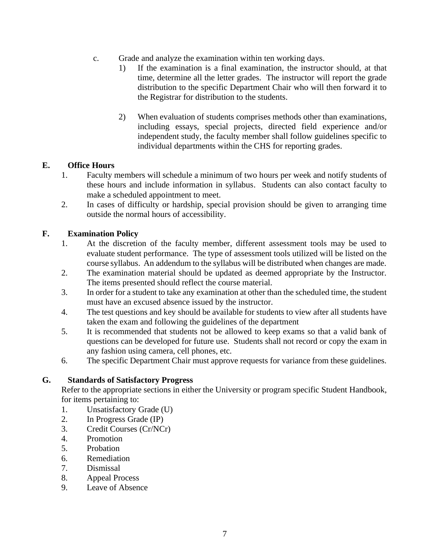- c. Grade and analyze the examination within ten working days.
	- 1) If the examination is a final examination, the instructor should, at that time, determine all the letter grades. The instructor will report the grade distribution to the specific Department Chair who will then forward it to the Registrar for distribution to the students.
	- 2) When evaluation of students comprises methods other than examinations, including essays, special projects, directed field experience and/or independent study, the faculty member shall follow guidelines specific to individual departments within the CHS for reporting grades.

#### <span id="page-6-0"></span>**E. Office Hours**

- 1. Faculty members will schedule a minimum of two hours per week and notify students of these hours and include information in syllabus. Students can also contact faculty to make a scheduled appointment to meet.
- 2. In cases of difficulty or hardship, special provision should be given to arranging time outside the normal hours of accessibility.

#### <span id="page-6-1"></span>**F. Examination Policy**

- 1. At the discretion of the faculty member, different assessment tools may be used to evaluate student performance. The type of assessment tools utilized will be listed on the course syllabus. An addendum to the syllabus will be distributed when changes are made.
- 2. The examination material should be updated as deemed appropriate by the Instructor. The items presented should reflect the course material.
- 3. In order for a student to take any examination at other than the scheduled time, the student must have an excused absence issued by the instructor.
- 4. The test questions and key should be available for students to view after all students have taken the exam and following the guidelines of the department
- 5. It is recommended that students not be allowed to keep exams so that a valid bank of questions can be developed for future use. Students shall not record or copy the exam in any fashion using camera, cell phones, etc.
- 6. The specific Department Chair must approve requests for variance from these guidelines.

#### <span id="page-6-2"></span>**G. Standards of Satisfactory Progress**

Refer to the appropriate sections in either the University or program specific Student Handbook, for items pertaining to:

- 1. Unsatisfactory Grade (U)
- 2. In Progress Grade (IP)
- 3. Credit Courses (Cr/NCr)
- 4. Promotion
- 5. Probation
- 6. Remediation
- 7. Dismissal
- 8. Appeal Process
- 9. Leave of Absence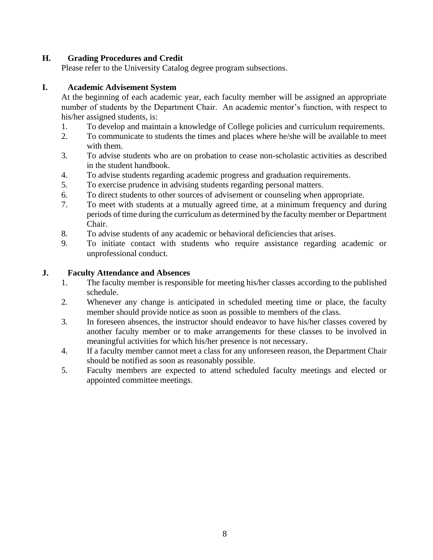### <span id="page-7-0"></span>**H. Grading Procedures and Credit**

Please refer to the University Catalog degree program subsections.

#### <span id="page-7-1"></span>**I. Academic Advisement System**

At the beginning of each academic year, each faculty member will be assigned an appropriate number of students by the Department Chair. An academic mentor's function, with respect to his/her assigned students, is:

- 1. To develop and maintain a knowledge of College policies and curriculum requirements.
- 2. To communicate to students the times and places where he/she will be available to meet with them.
- 3. To advise students who are on probation to cease non-scholastic activities as described in the student handbook.
- 4. To advise students regarding academic progress and graduation requirements.
- 5. To exercise prudence in advising students regarding personal matters.
- 6. To direct students to other sources of advisement or counseling when appropriate.
- 7. To meet with students at a mutually agreed time, at a minimum frequency and during periods of time during the curriculum as determined by the faculty member or Department Chair.
- 8. To advise students of any academic or behavioral deficiencies that arises.
- 9. To initiate contact with students who require assistance regarding academic or unprofessional conduct.

#### <span id="page-7-2"></span>**J. Faculty Attendance and Absences**

- 1. The faculty member is responsible for meeting his/her classes according to the published schedule.
- 2. Whenever any change is anticipated in scheduled meeting time or place, the faculty member should provide notice as soon as possible to members of the class.
- 3. In foreseen absences, the instructor should endeavor to have his/her classes covered by another faculty member or to make arrangements for these classes to be involved in meaningful activities for which his/her presence is not necessary.
- 4. If a faculty member cannot meet a class for any unforeseen reason, the Department Chair should be notified as soon as reasonably possible.
- 5. Faculty members are expected to attend scheduled faculty meetings and elected or appointed committee meetings.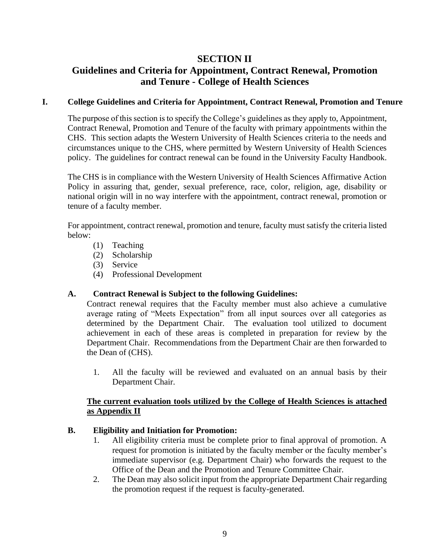# **SECTION II**

# **Guidelines and Criteria for Appointment, Contract Renewal, Promotion and Tenure - College of Health Sciences**

#### <span id="page-8-0"></span>**I. College Guidelines and Criteria for Appointment, Contract Renewal, Promotion and Tenure**

The purpose of this section is to specify the College's guidelines as they apply to, Appointment, Contract Renewal, Promotion and Tenure of the faculty with primary appointments within the CHS. This section adapts the Western University of Health Sciences criteria to the needs and circumstances unique to the CHS, where permitted by Western University of Health Sciences policy. The guidelines for contract renewal can be found in the University Faculty Handbook.

The CHS is in compliance with the Western University of Health Sciences Affirmative Action Policy in assuring that, gender, sexual preference, race, color, religion, age, disability or national origin will in no way interfere with the appointment, contract renewal, promotion or tenure of a faculty member.

For appointment, contract renewal, promotion and tenure, faculty must satisfy the criteria listed below:

- (1) Teaching
- (2) Scholarship
- (3) Service
- (4) Professional Development

#### <span id="page-8-1"></span>**A. Contract Renewal is Subject to the following Guidelines:**

Contract renewal requires that the Faculty member must also achieve a cumulative average rating of "Meets Expectation" from all input sources over all categories as determined by the Department Chair. The evaluation tool utilized to document achievement in each of these areas is completed in preparation for review by the Department Chair. Recommendations from the Department Chair are then forwarded to the Dean of (CHS).

1. All the faculty will be reviewed and evaluated on an annual basis by their Department Chair.

#### **The current evaluation tools utilized by the College of Health Sciences is attached as Appendix II**

#### <span id="page-8-2"></span>**B. Eligibility and Initiation for Promotion:**

- 1. All eligibility criteria must be complete prior to final approval of promotion. A request for promotion is initiated by the faculty member or the faculty member's immediate supervisor (e.g. Department Chair) who forwards the request to the Office of the Dean and the Promotion and Tenure Committee Chair.
- 2. The Dean may also solicit input from the appropriate Department Chair regarding the promotion request if the request is faculty-generated.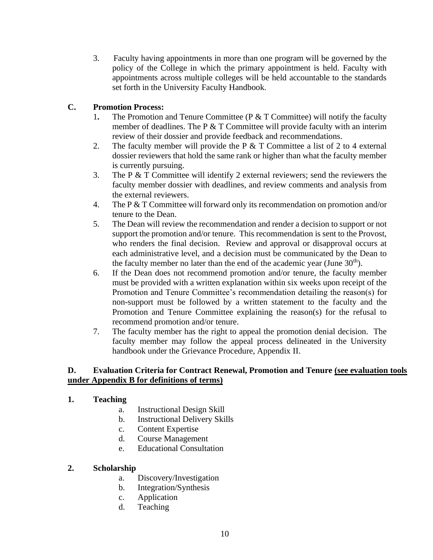3. Faculty having appointments in more than one program will be governed by the policy of the College in which the primary appointment is held. Faculty with appointments across multiple colleges will be held accountable to the standards set forth in the University Faculty Handbook.

#### <span id="page-9-0"></span>**C. Promotion Process:**

- 1. The Promotion and Tenure Committee (P & T Committee) will notify the faculty member of deadlines. The P  $&$  T Committee will provide faculty with an interim review of their dossier and provide feedback and recommendations.
- 2. The faculty member will provide the P & T Committee a list of 2 to 4 external dossier reviewers that hold the same rank or higher than what the faculty member is currently pursuing.
- 3. The P & T Committee will identify 2 external reviewers; send the reviewers the faculty member dossier with deadlines, and review comments and analysis from the external reviewers.
- 4. The P & T Committee will forward only its recommendation on promotion and/or tenure to the Dean.
- 5. The Dean will review the recommendation and render a decision to support or not support the promotion and/or tenure. This recommendation is sent to the Provost, who renders the final decision. Review and approval or disapproval occurs at each administrative level, and a decision must be communicated by the Dean to the faculty member no later than the end of the academic year (June  $30<sup>th</sup>$ ).
- 6. If the Dean does not recommend promotion and/or tenure, the faculty member must be provided with a written explanation within six weeks upon receipt of the Promotion and Tenure Committee's recommendation detailing the reason(s) for non-support must be followed by a written statement to the faculty and the Promotion and Tenure Committee explaining the reason(s) for the refusal to recommend promotion and/or tenure.
- 7. The faculty member has the right to appeal the promotion denial decision. The faculty member may follow the appeal process delineated in the University handbook under the Grievance Procedure, Appendix II.

#### <span id="page-9-1"></span>**D. Evaluation Criteria for Contract Renewal, Promotion and Tenure (see evaluation tools under Appendix B for definitions of terms)**

#### **1. Teaching**

- a. Instructional Design Skill
- b. Instructional Delivery Skills
- c. Content Expertise
- d. Course Management
- e. Educational Consultation

#### **2. Scholarship**

- a. Discovery/Investigation
- b. Integration/Synthesis
- c. Application
- d. Teaching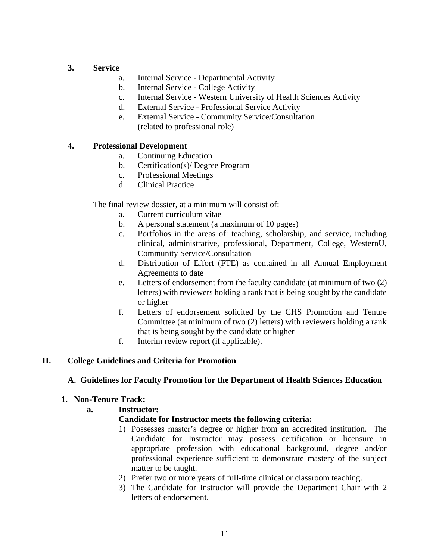#### **3. Service**

- a. Internal Service Departmental Activity
- b. Internal Service College Activity
- c. Internal Service Western University of Health Sciences Activity
- d. External Service Professional Service Activity
- e. External Service Community Service/Consultation (related to professional role)

#### **4. Professional Development**

- a. Continuing Education
- b. Certification(s)/ Degree Program
- c. Professional Meetings
- d. Clinical Practice

The final review dossier, at a minimum will consist of:

- a. Current curriculum vitae
- b. A personal statement (a maximum of 10 pages)
- c. Portfolios in the areas of: teaching, scholarship, and service, including clinical, administrative, professional, Department, College, WesternU, Community Service/Consultation
- d. Distribution of Effort (FTE) as contained in all Annual Employment Agreements to date
- e. Letters of endorsement from the faculty candidate (at minimum of two (2) letters) with reviewers holding a rank that is being sought by the candidate or higher
- f. Letters of endorsement solicited by the CHS Promotion and Tenure Committee (at minimum of two (2) letters) with reviewers holding a rank that is being sought by the candidate or higher
- f. Interim review report (if applicable).

#### <span id="page-10-1"></span><span id="page-10-0"></span>**II. College Guidelines and Criteria for Promotion**

#### **A. Guidelines for Faculty Promotion for the Department of Health Sciences Education**

#### **1. Non-Tenure Track:**

#### **a. Instructor:**

#### **Candidate for Instructor meets the following criteria:**

- 1) Possesses master's degree or higher from an accredited institution. The Candidate for Instructor may possess certification or licensure in appropriate profession with educational background, degree and/or professional experience sufficient to demonstrate mastery of the subject matter to be taught.
- 2) Prefer two or more years of full-time clinical or classroom teaching.
- 3) The Candidate for Instructor will provide the Department Chair with 2 letters of endorsement.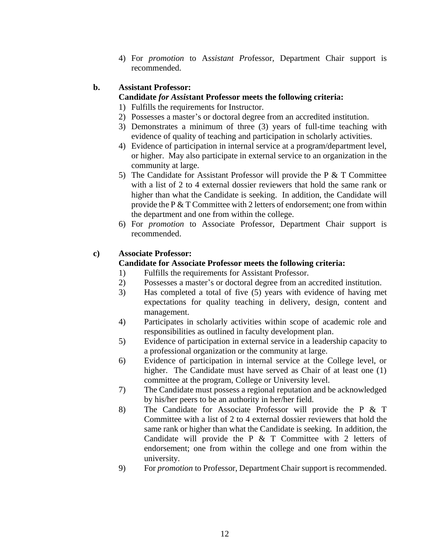4) For *promotion* to A*ssistant Pr*ofessor, Department Chair support is recommended.

#### **b. Assistant Professor:**

#### **Candidate** *for Assis***tant Professor meets the following criteria:**

- 1) Fulfills the requirements for Instructor.
- 2) Possesses a master's or doctoral degree from an accredited institution.
- 3) Demonstrates a minimum of three (3) years of full-time teaching with evidence of quality of teaching and participation in scholarly activities.
- 4) Evidence of participation in internal service at a program/department level, or higher. May also participate in external service to an organization in the community at large.
- 5) The Candidate for Assistant Professor will provide the P & T Committee with a list of 2 to 4 external dossier reviewers that hold the same rank or higher than what the Candidate is seeking. In addition, the Candidate will provide the P & T Committee with 2 letters of endorsement; one from within the department and one from within the college.
- 6) For *promotion* to Associate Professor, Department Chair support is recommended.

#### **c) Associate Professor:**

#### **Candidate for Associate Professor meets the following criteria:**

- 1) Fulfills the requirements for Assistant Professor.
- 2) Possesses a master's or doctoral degree from an accredited institution.
- 3) Has completed a total of five (5) years with evidence of having met expectations for quality teaching in delivery, design, content and management.
- 4) Participates in scholarly activities within scope of academic role and responsibilities as outlined in faculty development plan.
- 5) Evidence of participation in external service in a leadership capacity to a professional organization or the community at large.
- 6) Evidence of participation in internal service at the College level, or higher. The Candidate must have served as Chair of at least one (1) committee at the program, College or University level.
- 7) The Candidate must possess a regional reputation and be acknowledged by his/her peers to be an authority in her/her field.
- 8) The Candidate for Associate Professor will provide the P & T Committee with a list of 2 to 4 external dossier reviewers that hold the same rank or higher than what the Candidate is seeking. In addition, the Candidate will provide the P  $&$  T Committee with 2 letters of endorsement; one from within the college and one from within the university.
- 9) For *promotion* to Professor, Department Chair support is recommended.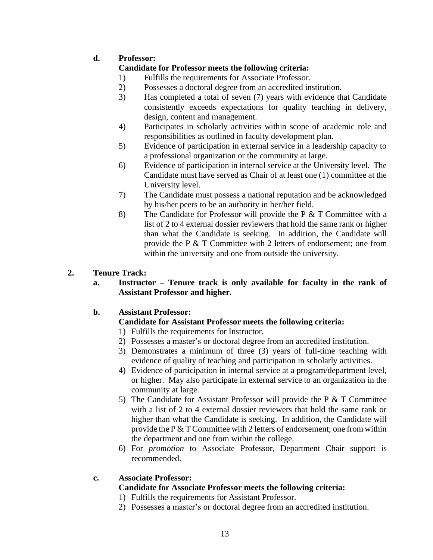# **d. Professor:**

#### **Candidate for Professor meets the following criteria:**

- 1) Fulfills the requirements for Associate Professor.
- 2) Possesses a doctoral degree from an accredited institution.
- 3) Has completed a total of seven (7) years with evidence that Candidate consistently exceeds expectations for quality teaching in delivery, design, content and management.
- 4) Participates in scholarly activities within scope of academic role and responsibilities as outlined in faculty development plan.
- 5) Evidence of participation in external service in a leadership capacity to a professional organization or the community at large.
- 6) Evidence of participation in internal service at the University level. The Candidate must have served as Chair of at least one (1) committee at the University level.
- 7) The Candidate must possess a national reputation and be acknowledged by his/her peers to be an authority in her/her field.
- 8) The Candidate for Professor will provide the P & T Committee with a list of 2 to 4 external dossier reviewers that hold the same rank or higher than what the Candidate is seeking. In addition, the Candidate will provide the P & T Committee with 2 letters of endorsement; one from within the university and one from outside the university.

#### **2. Tenure Track:**

**a. Instructor – Tenure track is only available for faculty in the rank of Assistant Professor and higher.**

#### **b. Assistant Professor:**

#### **Candidate for Assistant Professor meets the following criteria:**

- 1) Fulfills the requirements for Instructor.
- 2) Possesses a master's or doctoral degree from an accredited institution.
- 3) Demonstrates a minimum of three (3) years of full-time teaching with evidence of quality of teaching and participation in scholarly activities.
- 4) Evidence of participation in internal service at a program/department level, or higher. May also participate in external service to an organization in the community at large.
- 5) The Candidate for Assistant Professor will provide the P & T Committee with a list of 2 to 4 external dossier reviewers that hold the same rank or higher than what the Candidate is seeking. In addition, the Candidate will provide the P & T Committee with 2 letters of endorsement; one from within the department and one from within the college.
- 6) For *promotion* to Associate Professor, Department Chair support is recommended.

#### **c. Associate Professor:**

#### **Candidate for Associate Professor meets the following criteria:**

1) Fulfills the requirements for Assistant Professor.

2) Possesses a master's or doctoral degree from an accredited institution.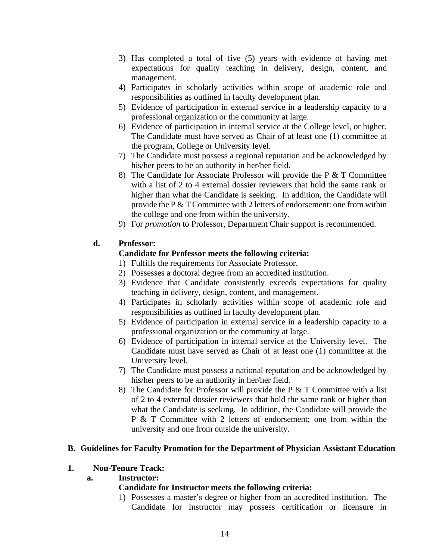- 3) Has completed a total of five (5) years with evidence of having met expectations for quality teaching in delivery, design, content, and management.
- 4) Participates in scholarly activities within scope of academic role and responsibilities as outlined in faculty development plan.
- 5) Evidence of participation in external service in a leadership capacity to a professional organization or the community at large.
- 6) Evidence of participation in internal service at the College level, or higher. The Candidate must have served as Chair of at least one (1) committee at the program, College or University level.
- 7) The Candidate must possess a regional reputation and be acknowledged by his/her peers to be an authority in her/her field.
- 8) The Candidate for Associate Professor will provide the P & T Committee with a list of 2 to 4 external dossier reviewers that hold the same rank or higher than what the Candidate is seeking. In addition, the Candidate will provide the P & T Committee with 2 letters of endorsement: one from within the college and one from within the university.
- 9) For *promotion* to Professor, Department Chair support is recommended.

#### **d. Professor:**

#### **Candidate for Professor meets the following criteria:**

- 1) Fulfills the requirements for Associate Professor.
- 2) Possesses a doctoral degree from an accredited institution.
- 3) Evidence that Candidate consistently exceeds expectations for quality teaching in delivery, design, content, and management.
- 4) Participates in scholarly activities within scope of academic role and responsibilities as outlined in faculty development plan.
- 5) Evidence of participation in external service in a leadership capacity to a professional organization or the community at large.
- 6) Evidence of participation in internal service at the University level. The Candidate must have served as Chair of at least one (1) committee at the University level.
- 7) The Candidate must possess a national reputation and be acknowledged by his/her peers to be an authority in her/her field.
- 8) The Candidate for Professor will provide the P  $&$  T Committee with a list of 2 to 4 external dossier reviewers that hold the same rank or higher than what the Candidate is seeking. In addition, the Candidate will provide the P & T Committee with 2 letters of endorsement; one from within the university and one from outside the university.

#### <span id="page-13-0"></span>**B. Guidelines for Faculty Promotion for the Department of Physician Assistant Education**

#### **1. Non-Tenure Track:**

#### **a. Instructor:**

#### **Candidate for Instructor meets the following criteria:**

1) Possesses a master's degree or higher from an accredited institution. The Candidate for Instructor may possess certification or licensure in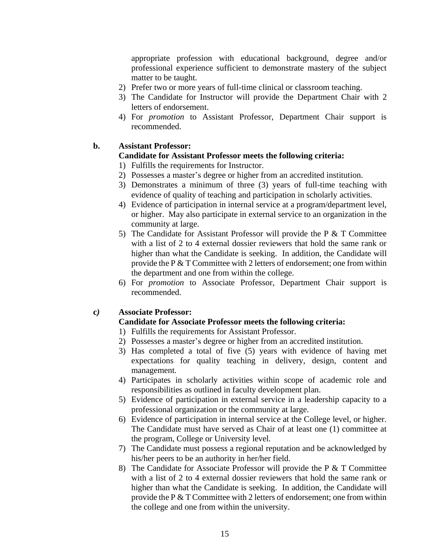appropriate profession with educational background, degree and/or professional experience sufficient to demonstrate mastery of the subject matter to be taught.

- 2) Prefer two or more years of full-time clinical or classroom teaching.
- 3) The Candidate for Instructor will provide the Department Chair with 2 letters of endorsement.
- 4) For *promotion* to Assistant Professor, Department Chair support is recommended.

#### **b. Assistant Professor:**

#### **Candidate for Assistant Professor meets the following criteria:**

- 1) Fulfills the requirements for Instructor.
- 2) Possesses a master's degree or higher from an accredited institution.
- 3) Demonstrates a minimum of three (3) years of full-time teaching with evidence of quality of teaching and participation in scholarly activities.
- 4) Evidence of participation in internal service at a program/department level, or higher. May also participate in external service to an organization in the community at large.
- 5) The Candidate for Assistant Professor will provide the P & T Committee with a list of 2 to 4 external dossier reviewers that hold the same rank or higher than what the Candidate is seeking. In addition, the Candidate will provide the P & T Committee with 2 letters of endorsement; one from within the department and one from within the college.
- 6) For *promotion* to Associate Professor, Department Chair support is recommended.

#### **c***)* **Associate Professor:**

#### **Candidate for Associate Professor meets the following criteria:**

- 1) Fulfills the requirements for Assistant Professor.
- 2) Possesses a master's degree or higher from an accredited institution.
- 3) Has completed a total of five (5) years with evidence of having met expectations for quality teaching in delivery, design, content and management.
- 4) Participates in scholarly activities within scope of academic role and responsibilities as outlined in faculty development plan.
- 5) Evidence of participation in external service in a leadership capacity to a professional organization or the community at large.
- 6) Evidence of participation in internal service at the College level, or higher. The Candidate must have served as Chair of at least one (1) committee at the program, College or University level.
- 7) The Candidate must possess a regional reputation and be acknowledged by his/her peers to be an authority in her/her field.
- 8) The Candidate for Associate Professor will provide the P & T Committee with a list of 2 to 4 external dossier reviewers that hold the same rank or higher than what the Candidate is seeking. In addition, the Candidate will provide the P & T Committee with 2 letters of endorsement; one from within the college and one from within the university.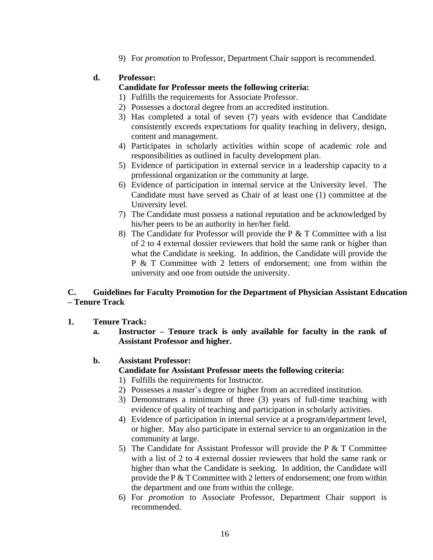9) For *promotion* to Professor, Department Chair support is recommended.

#### **d. Professor:**

#### **Candidate for Professor meets the following criteria:**

- 1) Fulfills the requirements for Associate Professor.
- 2) Possesses a doctoral degree from an accredited institution.
- 3) Has completed a total of seven (7) years with evidence that Candidate consistently exceeds expectations for quality teaching in delivery, design, content and management.
- 4) Participates in scholarly activities within scope of academic role and responsibilities as outlined in faculty development plan.
- 5) Evidence of participation in external service in a leadership capacity to a professional organization or the community at large.
- 6) Evidence of participation in internal service at the University level. The Candidate must have served as Chair of at least one (1) committee at the University level.
- 7) The Candidate must possess a national reputation and be acknowledged by his/her peers to be an authority in her/her field.
- 8) The Candidate for Professor will provide the P  $&$  T Committee with a list of 2 to 4 external dossier reviewers that hold the same rank or higher than what the Candidate is seeking. In addition, the Candidate will provide the P & T Committee with 2 letters of endorsement; one from within the university and one from outside the university.

#### <span id="page-15-0"></span>**C. Guidelines for Faculty Promotion for the Department of Physician Assistant Education – Tenure Track**

- **1. Tenure Track:**
	- **a. Instructor – Tenure track is only available for faculty in the rank of Assistant Professor and higher.**

#### **b. Assistant Professor:**

- **Candidate for Assistant Professor meets the following criteria:**
- 1) Fulfills the requirements for Instructor.
- 2) Possesses a master's degree or higher from an accredited institution.
- 3) Demonstrates a minimum of three (3) years of full-time teaching with evidence of quality of teaching and participation in scholarly activities.
- 4) Evidence of participation in internal service at a program/department level, or higher. May also participate in external service to an organization in the community at large.
- 5) The Candidate for Assistant Professor will provide the P  $&$  T Committee with a list of 2 to 4 external dossier reviewers that hold the same rank or higher than what the Candidate is seeking. In addition, the Candidate will provide the P & T Committee with 2 letters of endorsement; one from within the department and one from within the college.
- 6) For *promotion* to Associate Professor, Department Chair support is recommended.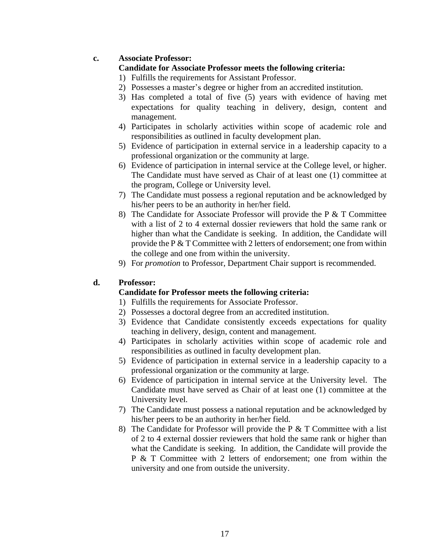#### **c. Associate Professor:**

#### **Candidate for Associate Professor meets the following criteria:**

- 1) Fulfills the requirements for Assistant Professor.
- 2) Possesses a master's degree or higher from an accredited institution.
- 3) Has completed a total of five (5) years with evidence of having met expectations for quality teaching in delivery, design, content and management.
- 4) Participates in scholarly activities within scope of academic role and responsibilities as outlined in faculty development plan.
- 5) Evidence of participation in external service in a leadership capacity to a professional organization or the community at large.
- 6) Evidence of participation in internal service at the College level, or higher. The Candidate must have served as Chair of at least one (1) committee at the program, College or University level.
- 7) The Candidate must possess a regional reputation and be acknowledged by his/her peers to be an authority in her/her field.
- 8) The Candidate for Associate Professor will provide the P & T Committee with a list of 2 to 4 external dossier reviewers that hold the same rank or higher than what the Candidate is seeking. In addition, the Candidate will provide the P & T Committee with 2 letters of endorsement; one from within the college and one from within the university.
- 9) For *promotion* to Professor, Department Chair support is recommended.

#### **d. Professor:**

#### **Candidate for Professor meets the following criteria:**

- 1) Fulfills the requirements for Associate Professor.
- 2) Possesses a doctoral degree from an accredited institution.
- 3) Evidence that Candidate consistently exceeds expectations for quality teaching in delivery, design, content and management.
- 4) Participates in scholarly activities within scope of academic role and responsibilities as outlined in faculty development plan.
- 5) Evidence of participation in external service in a leadership capacity to a professional organization or the community at large.
- 6) Evidence of participation in internal service at the University level. The Candidate must have served as Chair of at least one (1) committee at the University level.
- 7) The Candidate must possess a national reputation and be acknowledged by his/her peers to be an authority in her/her field.
- 8) The Candidate for Professor will provide the P  $&$  T Committee with a list of 2 to 4 external dossier reviewers that hold the same rank or higher than what the Candidate is seeking. In addition, the Candidate will provide the P & T Committee with 2 letters of endorsement; one from within the university and one from outside the university.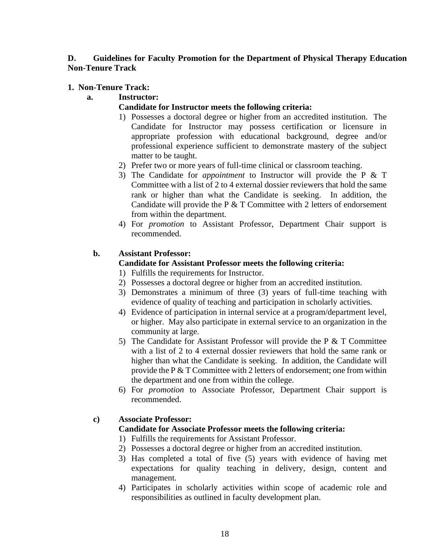#### <span id="page-17-0"></span>**D. Guidelines for Faculty Promotion for the Department of Physical Therapy Education Non-Tenure Track**

#### **1. Non-Tenure Track:**

#### **a. Instructor:**

#### **Candidate for Instructor meets the following criteria:**

- 1) Possesses a doctoral degree or higher from an accredited institution. The Candidate for Instructor may possess certification or licensure in appropriate profession with educational background, degree and/or professional experience sufficient to demonstrate mastery of the subject matter to be taught.
- 2) Prefer two or more years of full-time clinical or classroom teaching.
- 3) The Candidate for *appointment* to Instructor will provide the P & T Committee with a list of 2 to 4 external dossier reviewers that hold the same rank or higher than what the Candidate is seeking. In addition, the Candidate will provide the P  $&$  T Committee with 2 letters of endorsement from within the department.
- 4) For *promotion* to Assistant Professor, Department Chair support is recommended.

#### **b. Assistant Professor:**

#### **Candidate for Assistant Professor meets the following criteria:**

- 1) Fulfills the requirements for Instructor.
- 2) Possesses a doctoral degree or higher from an accredited institution.
- 3) Demonstrates a minimum of three (3) years of full-time teaching with evidence of quality of teaching and participation in scholarly activities.
- 4) Evidence of participation in internal service at a program/department level, or higher. May also participate in external service to an organization in the community at large.
- 5) The Candidate for Assistant Professor will provide the P  $&$  T Committee with a list of 2 to 4 external dossier reviewers that hold the same rank or higher than what the Candidate is seeking. In addition, the Candidate will provide the P & T Committee with 2 letters of endorsement; one from within the department and one from within the college.
- 6) For *promotion* to Associate Professor, Department Chair support is recommended.

#### **c) Associate Professor:**

#### **Candidate for Associate Professor meets the following criteria:**

1) Fulfills the requirements for Assistant Professor.

- 2) Possesses a doctoral degree or higher from an accredited institution.
- 3) Has completed a total of five (5) years with evidence of having met expectations for quality teaching in delivery, design, content and management.
- 4) Participates in scholarly activities within scope of academic role and responsibilities as outlined in faculty development plan.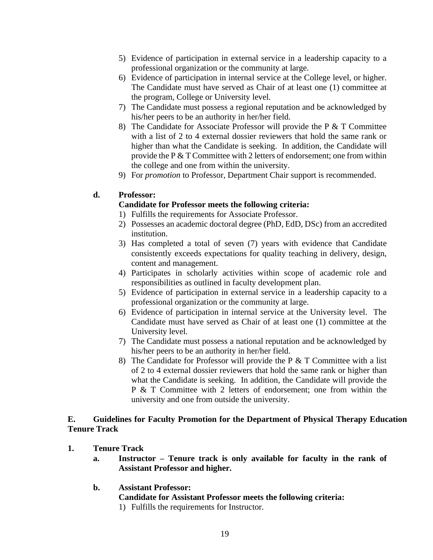- 5) Evidence of participation in external service in a leadership capacity to a professional organization or the community at large.
- 6) Evidence of participation in internal service at the College level, or higher. The Candidate must have served as Chair of at least one (1) committee at the program, College or University level.
- 7) The Candidate must possess a regional reputation and be acknowledged by his/her peers to be an authority in her/her field.
- 8) The Candidate for Associate Professor will provide the P & T Committee with a list of 2 to 4 external dossier reviewers that hold the same rank or higher than what the Candidate is seeking. In addition, the Candidate will provide the P & T Committee with 2 letters of endorsement; one from within the college and one from within the university.
- 9) For *promotion* to Professor, Department Chair support is recommended.

#### **d. Professor:**

#### **Candidate for Professor meets the following criteria:**

- 1) Fulfills the requirements for Associate Professor.
- 2) Possesses an academic doctoral degree (PhD, EdD, DSc) from an accredited institution.
- 3) Has completed a total of seven (7) years with evidence that Candidate consistently exceeds expectations for quality teaching in delivery, design, content and management.
- 4) Participates in scholarly activities within scope of academic role and responsibilities as outlined in faculty development plan.
- 5) Evidence of participation in external service in a leadership capacity to a professional organization or the community at large.
- 6) Evidence of participation in internal service at the University level. The Candidate must have served as Chair of at least one (1) committee at the University level.
- 7) The Candidate must possess a national reputation and be acknowledged by his/her peers to be an authority in her/her field.
- 8) The Candidate for Professor will provide the P  $&$  T Committee with a list of 2 to 4 external dossier reviewers that hold the same rank or higher than what the Candidate is seeking. In addition, the Candidate will provide the P & T Committee with 2 letters of endorsement; one from within the university and one from outside the university.

#### <span id="page-18-0"></span>**E. Guidelines for Faculty Promotion for the Department of Physical Therapy Education Tenure Track**

- **1. Tenure Track**
	- **a. Instructor – Tenure track is only available for faculty in the rank of Assistant Professor and higher.**
	- **b. Assistant Professor:**

#### **Candidate for Assistant Professor meets the following criteria:**

1) Fulfills the requirements for Instructor.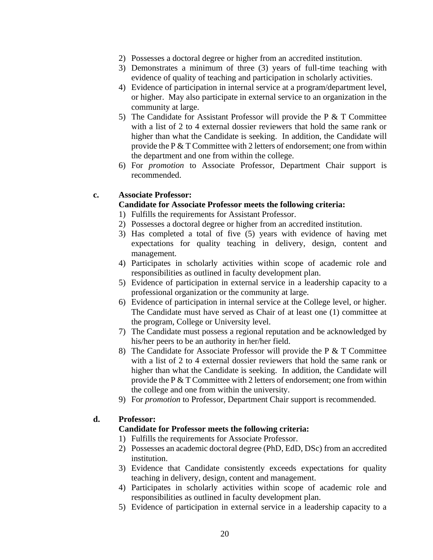- 2) Possesses a doctoral degree or higher from an accredited institution.
- 3) Demonstrates a minimum of three (3) years of full-time teaching with evidence of quality of teaching and participation in scholarly activities.
- 4) Evidence of participation in internal service at a program/department level, or higher. May also participate in external service to an organization in the community at large.
- 5) The Candidate for Assistant Professor will provide the P & T Committee with a list of 2 to 4 external dossier reviewers that hold the same rank or higher than what the Candidate is seeking. In addition, the Candidate will provide the P  $&$  T Committee with 2 letters of endorsement; one from within the department and one from within the college.
- 6) For *promotion* to Associate Professor, Department Chair support is recommended.

#### **c. Associate Professor:**

#### **Candidate for Associate Professor meets the following criteria:**

- 1) Fulfills the requirements for Assistant Professor.
- 2) Possesses a doctoral degree or higher from an accredited institution.
- 3) Has completed a total of five (5) years with evidence of having met expectations for quality teaching in delivery, design, content and management.
- 4) Participates in scholarly activities within scope of academic role and responsibilities as outlined in faculty development plan.
- 5) Evidence of participation in external service in a leadership capacity to a professional organization or the community at large.
- 6) Evidence of participation in internal service at the College level, or higher. The Candidate must have served as Chair of at least one (1) committee at the program, College or University level.
- 7) The Candidate must possess a regional reputation and be acknowledged by his/her peers to be an authority in her/her field.
- 8) The Candidate for Associate Professor will provide the P  $&$  T Committee with a list of 2 to 4 external dossier reviewers that hold the same rank or higher than what the Candidate is seeking. In addition, the Candidate will provide the P & T Committee with 2 letters of endorsement; one from within the college and one from within the university.
- 9) For *promotion* to Professor, Department Chair support is recommended.

#### **d. Professor:**

#### **Candidate for Professor meets the following criteria:**

- 1) Fulfills the requirements for Associate Professor.
- 2) Possesses an academic doctoral degree (PhD, EdD, DSc) from an accredited institution.
- 3) Evidence that Candidate consistently exceeds expectations for quality teaching in delivery, design, content and management.
- 4) Participates in scholarly activities within scope of academic role and responsibilities as outlined in faculty development plan.
- 5) Evidence of participation in external service in a leadership capacity to a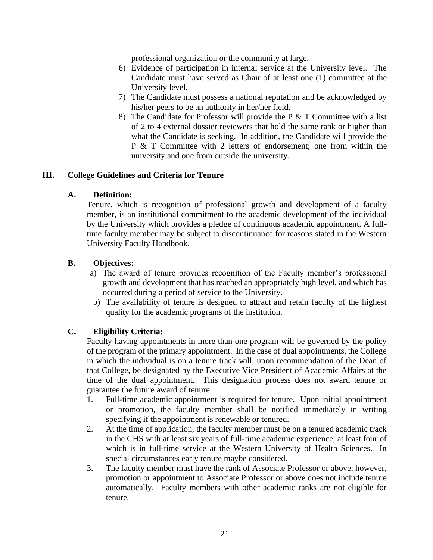professional organization or the community at large.

- 6) Evidence of participation in internal service at the University level. The Candidate must have served as Chair of at least one (1) committee at the University level.
- 7) The Candidate must possess a national reputation and be acknowledged by his/her peers to be an authority in her/her field.
- 8) The Candidate for Professor will provide the P  $&$  T Committee with a list of 2 to 4 external dossier reviewers that hold the same rank or higher than what the Candidate is seeking. In addition, the Candidate will provide the P & T Committee with 2 letters of endorsement; one from within the university and one from outside the university.

#### <span id="page-20-1"></span><span id="page-20-0"></span>**III. College Guidelines and Criteria for Tenure**

#### **A. Definition:**

Tenure, which is recognition of professional growth and development of a faculty member, is an institutional commitment to the academic development of the individual by the University which provides a pledge of continuous academic appointment. A fulltime faculty member may be subject to discontinuance for reasons stated in the Western University Faculty Handbook.

#### <span id="page-20-2"></span>**B. Objectives:**

- a) The award of tenure provides recognition of the Faculty member's professional growth and development that has reached an appropriately high level, and which has occurred during a period of service to the University.
- b) The availability of tenure is designed to attract and retain faculty of the highest quality for the academic programs of the institution.

#### <span id="page-20-3"></span>**C. Eligibility Criteria:**

Faculty having appointments in more than one program will be governed by the policy of the program of the primary appointment. In the case of dual appointments, the College in which the individual is on a tenure track will, upon recommendation of the Dean of that College, be designated by the Executive Vice President of Academic Affairs at the time of the dual appointment. This designation process does not award tenure or guarantee the future award of tenure.

- 1. Full-time academic appointment is required for tenure. Upon initial appointment or promotion, the faculty member shall be notified immediately in writing specifying if the appointment is renewable or tenured.
- 2. At the time of application, the faculty member must be on a tenured academic track in the CHS with at least six years of full-time academic experience, at least four of which is in full-time service at the Western University of Health Sciences. In special circumstances early tenure maybe considered.
- 3. The faculty member must have the rank of Associate Professor or above; however, promotion or appointment to Associate Professor or above does not include tenure automatically. Faculty members with other academic ranks are not eligible for tenure.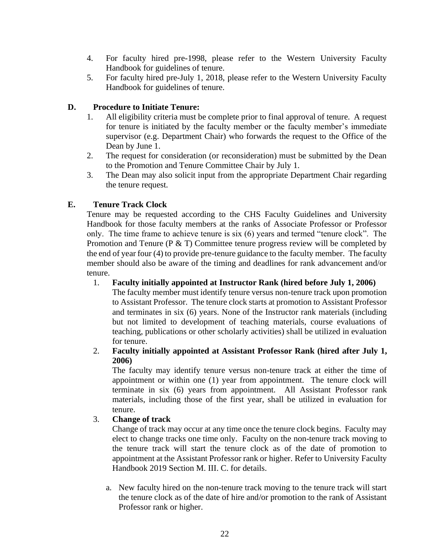- 4. For faculty hired pre-1998, please refer to the Western University Faculty Handbook for guidelines of tenure.
- 5. For faculty hired pre-July 1, 2018, please refer to the Western University Faculty Handbook for guidelines of tenure.

#### <span id="page-21-0"></span>**D. Procedure to Initiate Tenure:**

- 1. All eligibility criteria must be complete prior to final approval of tenure. A request for tenure is initiated by the faculty member or the faculty member's immediate supervisor (e.g. Department Chair) who forwards the request to the Office of the Dean by June 1.
- 2. The request for consideration (or reconsideration) must be submitted by the Dean to the Promotion and Tenure Committee Chair by July 1.
- 3. The Dean may also solicit input from the appropriate Department Chair regarding the tenure request.

#### <span id="page-21-1"></span>**E. Tenure Track Clock**

Tenure may be requested according to the CHS Faculty Guidelines and University Handbook for those faculty members at the ranks of Associate Professor or Professor only. The time frame to achieve tenure is six (6) years and termed "tenure clock". The Promotion and Tenure ( $P \& T$ ) Committee tenure progress review will be completed by the end of year four (4) to provide pre-tenure guidance to the faculty member. The faculty member should also be aware of the timing and deadlines for rank advancement and/or tenure.

1. **Faculty initially appointed at Instructor Rank (hired before July 1, 2006)**

The faculty member must identify tenure versus non-tenure track upon promotion to Assistant Professor. The tenure clock starts at promotion to Assistant Professor and terminates in six (6) years. None of the Instructor rank materials (including but not limited to development of teaching materials, course evaluations of teaching, publications or other scholarly activities) shall be utilized in evaluation for tenure.

2. **Faculty initially appointed at Assistant Professor Rank (hired after July 1, 2006)**

The faculty may identify tenure versus non-tenure track at either the time of appointment or within one (1) year from appointment. The tenure clock will terminate in six (6) years from appointment. All Assistant Professor rank materials, including those of the first year, shall be utilized in evaluation for tenure.

#### 3. **Change of track**

Change of track may occur at any time once the tenure clock begins. Faculty may elect to change tracks one time only. Faculty on the non-tenure track moving to the tenure track will start the tenure clock as of the date of promotion to appointment at the Assistant Professor rank or higher. Refer to University Faculty Handbook 2019 Section M. III. C. for details.

a. New faculty hired on the non-tenure track moving to the tenure track will start the tenure clock as of the date of hire and/or promotion to the rank of Assistant Professor rank or higher.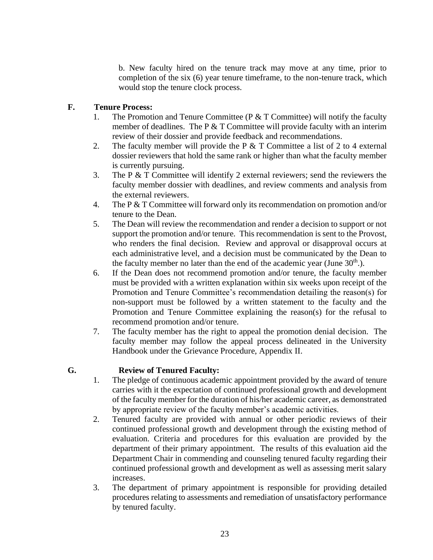b. New faculty hired on the tenure track may move at any time, prior to completion of the six (6) year tenure timeframe, to the non-tenure track, which would stop the tenure clock process.

#### <span id="page-22-0"></span>**F. Tenure Process:**

- 1. The Promotion and Tenure Committee ( $P \& T$  Committee) will notify the faculty member of deadlines. The P  $&$  T Committee will provide faculty with an interim review of their dossier and provide feedback and recommendations.
- 2. The faculty member will provide the P  $&$  T Committee a list of 2 to 4 external dossier reviewers that hold the same rank or higher than what the faculty member is currently pursuing.
- 3. The P & T Committee will identify 2 external reviewers; send the reviewers the faculty member dossier with deadlines, and review comments and analysis from the external reviewers.
- 4. The P & T Committee will forward only its recommendation on promotion and/or tenure to the Dean.
- 5. The Dean will review the recommendation and render a decision to support or not support the promotion and/or tenure. This recommendation is sent to the Provost, who renders the final decision. Review and approval or disapproval occurs at each administrative level, and a decision must be communicated by the Dean to the faculty member no later than the end of the academic year (June  $30<sup>th</sup>$ .).
- 6. If the Dean does not recommend promotion and/or tenure, the faculty member must be provided with a written explanation within six weeks upon receipt of the Promotion and Tenure Committee's recommendation detailing the reason(s) for non-support must be followed by a written statement to the faculty and the Promotion and Tenure Committee explaining the reason(s) for the refusal to recommend promotion and/or tenure.
- 7. The faculty member has the right to appeal the promotion denial decision. The faculty member may follow the appeal process delineated in the University Handbook under the Grievance Procedure, Appendix II.

# <span id="page-22-1"></span>**G. Review of Tenured Faculty:**

- 1. The pledge of continuous academic appointment provided by the award of tenure carries with it the expectation of continued professional growth and development of the faculty member for the duration of his/her academic career, as demonstrated by appropriate review of the faculty member's academic activities.
- 2. Tenured faculty are provided with annual or other periodic reviews of their continued professional growth and development through the existing method of evaluation. Criteria and procedures for this evaluation are provided by the department of their primary appointment. The results of this evaluation aid the Department Chair in commending and counseling tenured faculty regarding their continued professional growth and development as well as assessing merit salary increases.
- 3. The department of primary appointment is responsible for providing detailed procedures relating to assessments and remediation of unsatisfactory performance by tenured faculty.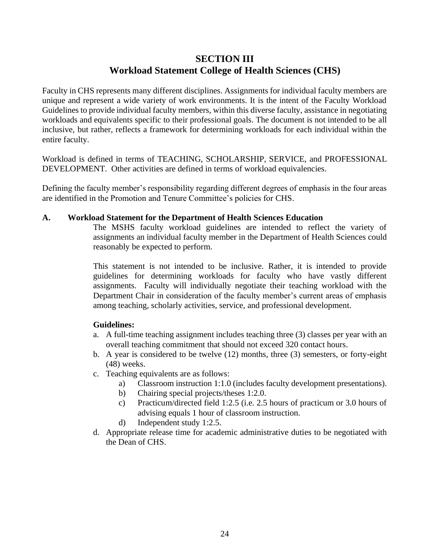# **SECTION III Workload Statement College of Health Sciences (CHS)**

Faculty in CHS represents many different disciplines. Assignments for individual faculty members are unique and represent a wide variety of work environments. It is the intent of the Faculty Workload Guidelines to provide individual faculty members, within this diverse faculty, assistance in negotiating workloads and equivalents specific to their professional goals. The document is not intended to be all inclusive, but rather, reflects a framework for determining workloads for each individual within the entire faculty.

Workload is defined in terms of TEACHING, SCHOLARSHIP, SERVICE, and PROFESSIONAL DEVELOPMENT. Other activities are defined in terms of workload equivalencies.

Defining the faculty member's responsibility regarding different degrees of emphasis in the four areas are identified in the Promotion and Tenure Committee's policies for CHS.

#### <span id="page-23-0"></span>**A. Workload Statement for the Department of Health Sciences Education**

The MSHS faculty workload guidelines are intended to reflect the variety of assignments an individual faculty member in the Department of Health Sciences could reasonably be expected to perform.

This statement is not intended to be inclusive. Rather, it is intended to provide guidelines for determining workloads for faculty who have vastly different assignments. Faculty will individually negotiate their teaching workload with the Department Chair in consideration of the faculty member's current areas of emphasis among teaching, scholarly activities, service, and professional development.

#### **Guidelines:**

- a. A full-time teaching assignment includes teaching three (3) classes per year with an overall teaching commitment that should not exceed 320 contact hours.
- b. A year is considered to be twelve (12) months, three (3) semesters, or forty-eight (48) weeks.
- c. Teaching equivalents are as follows:
	- a) Classroom instruction 1:1.0 (includes faculty development presentations).
	- b) Chairing special projects/theses 1:2.0.
	- c) Practicum/directed field 1:2.5 (i.e. 2.5 hours of practicum or 3.0 hours of advising equals 1 hour of classroom instruction.
	- d) Independent study 1:2.5.
- d. Appropriate release time for academic administrative duties to be negotiated with the Dean of CHS.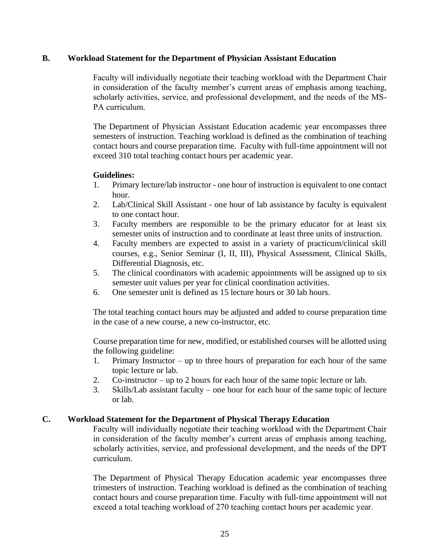#### <span id="page-24-0"></span>**B. Workload Statement for the Department of Physician Assistant Education**

Faculty will individually negotiate their teaching workload with the Department Chair in consideration of the faculty member's current areas of emphasis among teaching, scholarly activities, service, and professional development, and the needs of the MS-PA curriculum.

The Department of Physician Assistant Education academic year encompasses three semesters of instruction. Teaching workload is defined as the combination of teaching contact hours and course preparation time. Faculty with full-time appointment will not exceed 310 total teaching contact hours per academic year.

#### **Guidelines:**

- 1. Primary lecture/lab instructor one hour of instruction is equivalent to one contact hour.
- 2. Lab/Clinical Skill Assistant one hour of lab assistance by faculty is equivalent to one contact hour.
- 3. Faculty members are responsible to be the primary educator for at least six semester units of instruction and to coordinate at least three units of instruction.
- 4. Faculty members are expected to assist in a variety of practicum/clinical skill courses, e.g., Senior Seminar (I, II, III), Physical Assessment, Clinical Skills, Differential Diagnosis, etc.
- 5. The clinical coordinators with academic appointments will be assigned up to six semester unit values per year for clinical coordination activities.
- 6. One semester unit is defined as 15 lecture hours or 30 lab hours.

The total teaching contact hours may be adjusted and added to course preparation time in the case of a new course, a new co-instructor, etc.

Course preparation time for new, modified, or established courses will be allotted using the following guideline:

- 1. Primary Instructor up to three hours of preparation for each hour of the same topic lecture or lab.
- 2. Co-instructor up to 2 hours for each hour of the same topic lecture or lab.
- 3. Skills/Lab assistant faculty one hour for each hour of the same topic of lecture or lab.

#### <span id="page-24-1"></span>**C. Workload Statement for the Department of Physical Therapy Education**

Faculty will individually negotiate their teaching workload with the Department Chair in consideration of the faculty member's current areas of emphasis among teaching, scholarly activities, service, and professional development, and the needs of the DPT curriculum.

The Department of Physical Therapy Education academic year encompasses three trimesters of instruction. Teaching workload is defined as the combination of teaching contact hours and course preparation time. Faculty with full-time appointment will not exceed a total teaching workload of 270 teaching contact hours per academic year.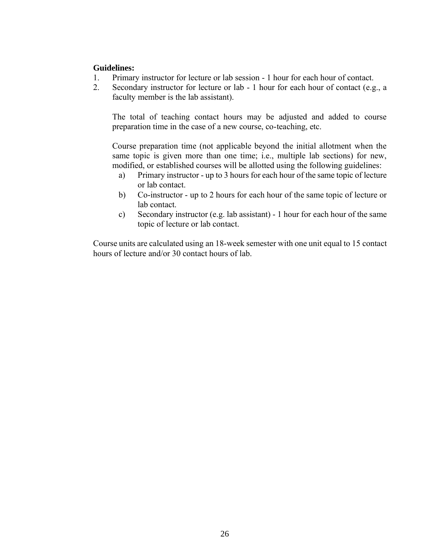#### **Guidelines:**

- 1. Primary instructor for lecture or lab session 1 hour for each hour of contact.
- 2. Secondary instructor for lecture or lab 1 hour for each hour of contact (e.g., a faculty member is the lab assistant).

The total of teaching contact hours may be adjusted and added to course preparation time in the case of a new course, co-teaching, etc.

Course preparation time (not applicable beyond the initial allotment when the same topic is given more than one time; i.e., multiple lab sections) for new, modified, or established courses will be allotted using the following guidelines:

- a) Primary instructor up to 3 hours for each hour of the same topic of lecture or lab contact.
- b) Co-instructor up to 2 hours for each hour of the same topic of lecture or lab contact.
- c) Secondary instructor (e.g. lab assistant) 1 hour for each hour of the same topic of lecture or lab contact.

Course units are calculated using an 18-week semester with one unit equal to 15 contact hours of lecture and/or 30 contact hours of lab.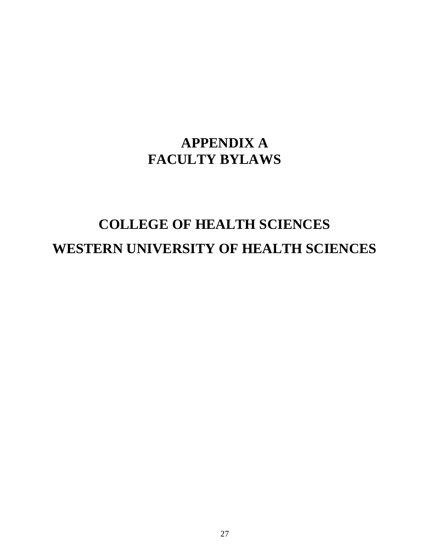# **APPENDIX A FACULTY BYLAWS**

# **COLLEGE OF HEALTH SCIENCES WESTERN UNIVERSITY OF HEALTH SCIENCES**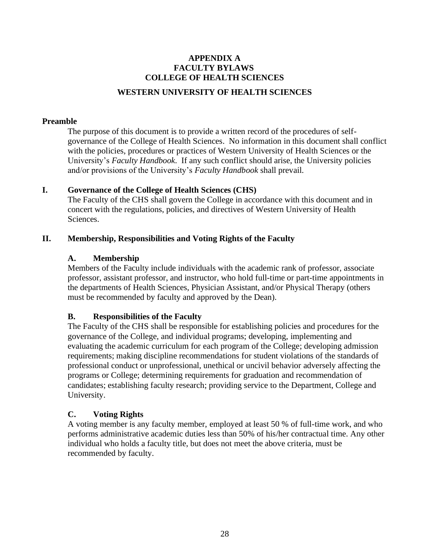# <span id="page-27-0"></span>**APPENDIX A FACULTY BYLAWS COLLEGE OF HEALTH SCIENCES WESTERN UNIVERSITY OF HEALTH SCIENCES**

#### <span id="page-27-1"></span>**Preamble**

The purpose of this document is to provide a written record of the procedures of selfgovernance of the College of Health Sciences. No information in this document shall conflict with the policies, procedures or practices of Western University of Health Sciences or the University's *Faculty Handbook*. If any such conflict should arise, the University policies and/or provisions of the University's *Faculty Handbook* shall prevail.

#### <span id="page-27-2"></span>**I. Governance of the College of Health Sciences (CHS)**

The Faculty of the CHS shall govern the College in accordance with this document and in concert with the regulations, policies, and directives of Western University of Health Sciences.

#### <span id="page-27-4"></span><span id="page-27-3"></span>**II. Membership, Responsibilities and Voting Rights of the Faculty**

#### **A. Membership**

Members of the Faculty include individuals with the academic rank of professor, associate professor, assistant professor, and instructor, who hold full-time or part-time appointments in the departments of Health Sciences, Physician Assistant, and/or Physical Therapy (others must be recommended by faculty and approved by the Dean).

#### <span id="page-27-5"></span>**B. Responsibilities of the Faculty**

The Faculty of the CHS shall be responsible for establishing policies and procedures for the governance of the College, and individual programs; developing, implementing and evaluating the academic curriculum for each program of the College; developing admission requirements; making discipline recommendations for student violations of the standards of professional conduct or unprofessional, unethical or uncivil behavior adversely affecting the programs or College; determining requirements for graduation and recommendation of candidates; establishing faculty research; providing service to the Department, College and University.

#### <span id="page-27-6"></span>**C. Voting Rights**

A voting member is any faculty member, employed at least 50 % of full-time work, and who performs administrative academic duties less than 50% of his/her contractual time. Any other individual who holds a faculty title, but does not meet the above criteria, must be recommended by faculty.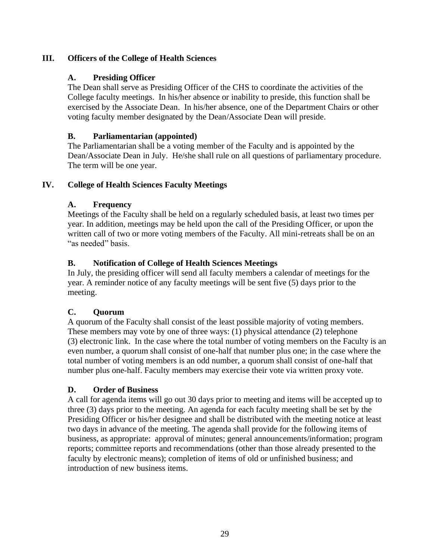### <span id="page-28-1"></span><span id="page-28-0"></span>**III. Officers of the College of Health Sciences**

#### **A. Presiding Officer**

The Dean shall serve as Presiding Officer of the CHS to coordinate the activities of the College faculty meetings. In his/her absence or inability to preside, this function shall be exercised by the Associate Dean. In his/her absence, one of the Department Chairs or other voting faculty member designated by the Dean/Associate Dean will preside.

#### <span id="page-28-2"></span>**B. Parliamentarian (appointed)**

The Parliamentarian shall be a voting member of the Faculty and is appointed by the Dean/Associate Dean in July. He/she shall rule on all questions of parliamentary procedure. The term will be one year.

### <span id="page-28-4"></span><span id="page-28-3"></span>**IV. College of Health Sciences Faculty Meetings**

### **A. Frequency**

Meetings of the Faculty shall be held on a regularly scheduled basis, at least two times per year. In addition, meetings may be held upon the call of the Presiding Officer, or upon the written call of two or more voting members of the Faculty. All mini-retreats shall be on an "as needed" basis.

### <span id="page-28-5"></span>**B. Notification of College of Health Sciences Meetings**

In July, the presiding officer will send all faculty members a calendar of meetings for the year. A reminder notice of any faculty meetings will be sent five (5) days prior to the meeting.

#### <span id="page-28-6"></span>**C. Quorum**

A quorum of the Faculty shall consist of the least possible majority of voting members. These members may vote by one of three ways: (1) physical attendance (2) telephone (3) electronic link. In the case where the total number of voting members on the Faculty is an even number, a quorum shall consist of one-half that number plus one; in the case where the total number of voting members is an odd number, a quorum shall consist of one-half that number plus one-half. Faculty members may exercise their vote via written proxy vote.

#### <span id="page-28-7"></span>**D. Order of Business**

A call for agenda items will go out 30 days prior to meeting and items will be accepted up to three (3) days prior to the meeting. An agenda for each faculty meeting shall be set by the Presiding Officer or his/her designee and shall be distributed with the meeting notice at least two days in advance of the meeting. The agenda shall provide for the following items of business, as appropriate: approval of minutes; general announcements/information; program reports; committee reports and recommendations (other than those already presented to the faculty by electronic means); completion of items of old or unfinished business; and introduction of new business items.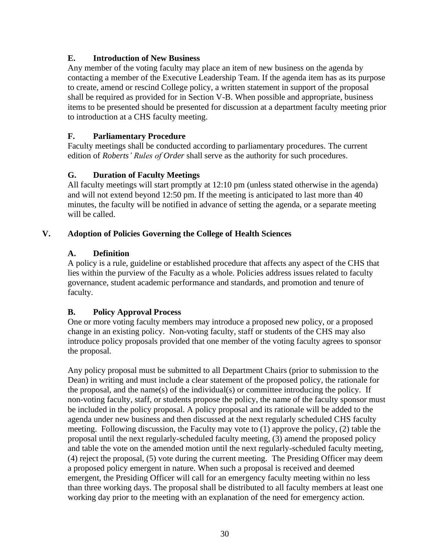### <span id="page-29-0"></span>**E. Introduction of New Business**

Any member of the voting faculty may place an item of new business on the agenda by contacting a member of the Executive Leadership Team. If the agenda item has as its purpose to create, amend or rescind College policy, a written statement in support of the proposal shall be required as provided for in Section V-B. When possible and appropriate, business items to be presented should be presented for discussion at a department faculty meeting prior to introduction at a CHS faculty meeting.

#### <span id="page-29-1"></span>**F. Parliamentary Procedure**

Faculty meetings shall be conducted according to parliamentary procedures. The current edition of *Roberts' Rules of Order* shall serve as the authority for such procedures.

### <span id="page-29-2"></span>**G. Duration of Faculty Meetings**

All faculty meetings will start promptly at 12:10 pm (unless stated otherwise in the agenda) and will not extend beyond 12:50 pm. If the meeting is anticipated to last more than 40 minutes, the faculty will be notified in advance of setting the agenda, or a separate meeting will be called.

#### <span id="page-29-4"></span><span id="page-29-3"></span>**V. Adoption of Policies Governing the College of Health Sciences**

#### **A. Definition**

A policy is a rule, guideline or established procedure that affects any aspect of the CHS that lies within the purview of the Faculty as a whole. Policies address issues related to faculty governance, student academic performance and standards, and promotion and tenure of faculty.

#### <span id="page-29-5"></span>**B. Policy Approval Process**

One or more voting faculty members may introduce a proposed new policy, or a proposed change in an existing policy. Non-voting faculty, staff or students of the CHS may also introduce policy proposals provided that one member of the voting faculty agrees to sponsor the proposal.

Any policy proposal must be submitted to all Department Chairs (prior to submission to the Dean) in writing and must include a clear statement of the proposed policy, the rationale for the proposal, and the name(s) of the individual(s) or committee introducing the policy. If non-voting faculty, staff, or students propose the policy, the name of the faculty sponsor must be included in the policy proposal. A policy proposal and its rationale will be added to the agenda under new business and then discussed at the next regularly scheduled CHS faculty meeting. Following discussion, the Faculty may vote to (1) approve the policy, (2) table the proposal until the next regularly-scheduled faculty meeting, (3) amend the proposed policy and table the vote on the amended motion until the next regularly-scheduled faculty meeting, (4) reject the proposal, (5) vote during the current meeting. The Presiding Officer may deem a proposed policy emergent in nature. When such a proposal is received and deemed emergent, the Presiding Officer will call for an emergency faculty meeting within no less than three working days. The proposal shall be distributed to all faculty members at least one working day prior to the meeting with an explanation of the need for emergency action.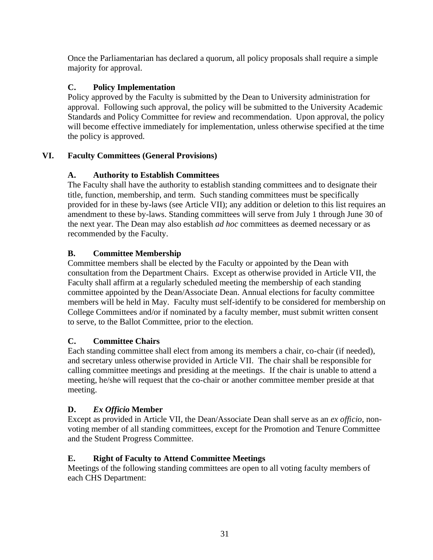Once the Parliamentarian has declared a quorum, all policy proposals shall require a simple majority for approval.

### <span id="page-30-0"></span>**C. Policy Implementation**

Policy approved by the Faculty is submitted by the Dean to University administration for approval. Following such approval, the policy will be submitted to the University Academic Standards and Policy Committee for review and recommendation. Upon approval, the policy will become effective immediately for implementation, unless otherwise specified at the time the policy is approved.

### <span id="page-30-2"></span><span id="page-30-1"></span>**VI. Faculty Committees (General Provisions)**

### **A. Authority to Establish Committees**

The Faculty shall have the authority to establish standing committees and to designate their title, function, membership, and term. Such standing committees must be specifically provided for in these by-laws (see Article VII); any addition or deletion to this list requires an amendment to these by-laws. Standing committees will serve from July 1 through June 30 of the next year. The Dean may also establish *ad hoc* committees as deemed necessary or as recommended by the Faculty.

### <span id="page-30-3"></span>**B. Committee Membership**

Committee members shall be elected by the Faculty or appointed by the Dean with consultation from the Department Chairs. Except as otherwise provided in Article VII, the Faculty shall affirm at a regularly scheduled meeting the membership of each standing committee appointed by the Dean/Associate Dean. Annual elections for faculty committee members will be held in May. Faculty must self-identify to be considered for membership on College Committees and/or if nominated by a faculty member, must submit written consent to serve, to the Ballot Committee, prior to the election.

#### <span id="page-30-4"></span>**C. Committee Chairs**

Each standing committee shall elect from among its members a chair, co-chair (if needed), and secretary unless otherwise provided in Article VII. The chair shall be responsible for calling committee meetings and presiding at the meetings. If the chair is unable to attend a meeting, he/she will request that the co-chair or another committee member preside at that meeting.

# <span id="page-30-5"></span>**D.** *Ex Officio* **Member**

Except as provided in Article VII, the Dean/Associate Dean shall serve as an *ex officio*, nonvoting member of all standing committees, except for the Promotion and Tenure Committee and the Student Progress Committee.

# <span id="page-30-6"></span>**E. Right of Faculty to Attend Committee Meetings**

Meetings of the following standing committees are open to all voting faculty members of each CHS Department: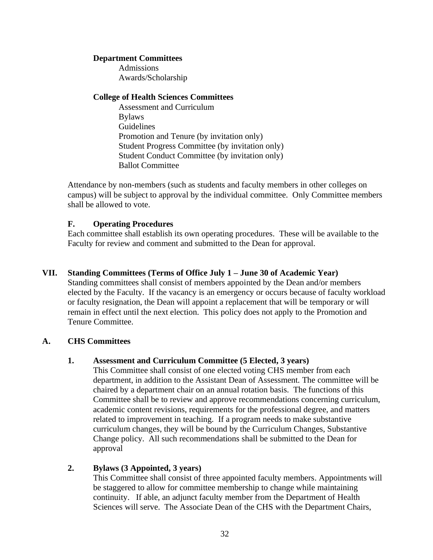#### **Department Committees**

Admissions Awards/Scholarship

#### **College of Health Sciences Committees**

Assessment and Curriculum Bylaws Guidelines Promotion and Tenure (by invitation only) Student Progress Committee (by invitation only) Student Conduct Committee (by invitation only) Ballot Committee

Attendance by non-members (such as students and faculty members in other colleges on campus) will be subject to approval by the individual committee. Only Committee members shall be allowed to vote.

#### <span id="page-31-0"></span>**F. Operating Procedures**

Each committee shall establish its own operating procedures. These will be available to the Faculty for review and comment and submitted to the Dean for approval.

#### <span id="page-31-1"></span>**VII. Standing Committees (Terms of Office July 1 – June 30 of Academic Year)**

Standing committees shall consist of members appointed by the Dean and/or members elected by the Faculty. If the vacancy is an emergency or occurs because of faculty workload or faculty resignation, the Dean will appoint a replacement that will be temporary or will remain in effect until the next election. This policy does not apply to the Promotion and Tenure Committee.

#### <span id="page-31-3"></span><span id="page-31-2"></span>**A. CHS Committees**

#### **1. Assessment and Curriculum Committee (5 Elected, 3 years)**

This Committee shall consist of one elected voting CHS member from each department, in addition to the Assistant Dean of Assessment. The committee will be chaired by a department chair on an annual rotation basis. The functions of this Committee shall be to review and approve recommendations concerning curriculum, academic content revisions, requirements for the professional degree, and matters related to improvement in teaching. If a program needs to make substantive curriculum changes, they will be bound by the Curriculum Changes, Substantive Change policy. All such recommendations shall be submitted to the Dean for approval

#### <span id="page-31-4"></span>**2. Bylaws (3 Appointed, 3 years)**

This Committee shall consist of three appointed faculty members. Appointments will be staggered to allow for committee membership to change while maintaining continuity. If able, an adjunct faculty member from the Department of Health Sciences will serve. The Associate Dean of the CHS with the Department Chairs,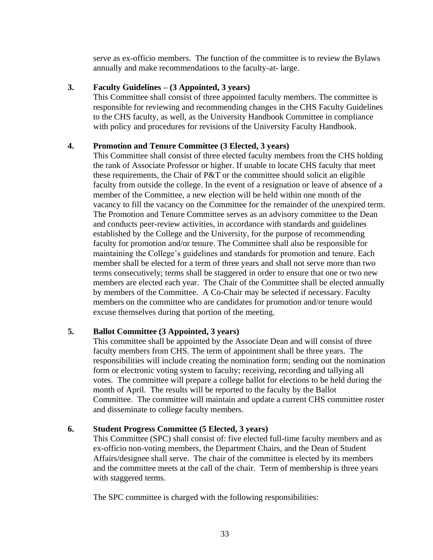serve as ex-officio members. The function of the committee is to review the Bylaws annually and make recommendations to the faculty-at- large.

#### <span id="page-32-0"></span>**3. Faculty Guidelines – (3 Appointed, 3 years)**

This Committee shall consist of three appointed faculty members. The committee is responsible for reviewing and recommending changes in the CHS Faculty Guidelines to the CHS faculty, as well, as the University Handbook Committee in compliance with policy and procedures for revisions of the University Faculty Handbook.

#### <span id="page-32-1"></span>**4. Promotion and Tenure Committee (3 Elected, 3 years)**

This Committee shall consist of three elected faculty members from the CHS holding the rank of Associate Professor or higher. If unable to locate CHS faculty that meet these requirements, the Chair of P&T or the committee should solicit an eligible faculty from outside the college. In the event of a resignation or leave of absence of a member of the Committee, a new election will be held within one month of the vacancy to fill the vacancy on the Committee for the remainder of the unexpired term. The Promotion and Tenure Committee serves as an advisory committee to the Dean and conducts peer-review activities, in accordance with standards and guidelines established by the College and the University, for the purpose of recommending faculty for promotion and/or tenure. The Committee shall also be responsible for maintaining the College's guidelines and standards for promotion and tenure. Each member shall be elected for a term of three years and shall not serve more than two terms consecutively; terms shall be staggered in order to ensure that one or two new members are elected each year. The Chair of the Committee shall be elected annually by members of the Committee. A Co-Chair may be selected if necessary. Faculty members on the committee who are candidates for promotion and/or tenure would excuse themselves during that portion of the meeting.

#### <span id="page-32-2"></span>**5. Ballot Committee (3 Appointed, 3 years)**

This committee shall be appointed by the Associate Dean and will consist of three faculty members from CHS. The term of appointment shall be three years. The responsibilities will include creating the nomination form; sending out the nomination form or electronic voting system to faculty; receiving, recording and tallying all votes. The committee will prepare a college ballot for elections to be held during the month of April. The results will be reported to the faculty by the Ballot Committee. The committee will maintain and update a current CHS committee roster and disseminate to college faculty members.

#### <span id="page-32-3"></span>**6. Student Progress Committee (5 Elected, 3 years)**

This Committee (SPC) shall consist of: five elected full-time faculty members and as ex-officio non-voting members, the Department Chairs, and the Dean of Student Affairs/designee shall serve. The chair of the committee is elected by its members and the committee meets at the call of the chair. Term of membership is three years with staggered terms.

The SPC committee is charged with the following responsibilities: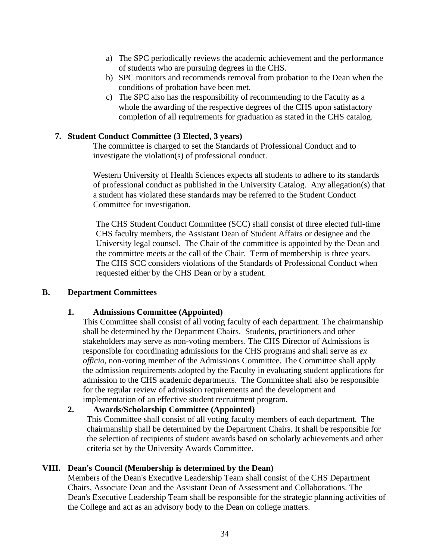- a) The SPC periodically reviews the academic achievement and the performance of students who are pursuing degrees in the CHS.
- b) SPC monitors and recommends removal from probation to the Dean when the conditions of probation have been met.
- c) The SPC also has the responsibility of recommending to the Faculty as a whole the awarding of the respective degrees of the CHS upon satisfactory completion of all requirements for graduation as stated in the CHS catalog.

#### <span id="page-33-0"></span>**7. Student Conduct Committee (3 Elected, 3 years)**

The committee is charged to set the Standards of Professional Conduct and to investigate the violation(s) of professional conduct.

Western University of Health Sciences expects all students to adhere to its standards of professional conduct as published in the University Catalog. Any allegation(s) that a student has violated these standards may be referred to the Student Conduct Committee for investigation.

The CHS Student Conduct Committee (SCC) shall consist of three elected full-time CHS faculty members, the Assistant Dean of Student Affairs or designee and the University legal counsel. The Chair of the committee is appointed by the Dean and the committee meets at the call of the Chair. Term of membership is three years. The CHS SCC considers violations of the Standards of Professional Conduct when requested either by the CHS Dean or by a student.

#### <span id="page-33-2"></span><span id="page-33-1"></span>**B. Department Committees**

#### **1. Admissions Committee (Appointed)**

This Committee shall consist of all voting faculty of each department. The chairmanship shall be determined by the Department Chairs. Students, practitioners and other stakeholders may serve as non-voting members. The CHS Director of Admissions is responsible for coordinating admissions for the CHS programs and shall serve as *ex officio*, non-voting member of the Admissions Committee. The Committee shall apply the admission requirements adopted by the Faculty in evaluating student applications for admission to the CHS academic departments. The Committee shall also be responsible for the regular review of admission requirements and the development and implementation of an effective student recruitment program.

#### <span id="page-33-3"></span>**2. Awards/Scholarship Committee (Appointed)**

This Committee shall consist of all voting faculty members of each department. The chairmanship shall be determined by the Department Chairs. It shall be responsible for the selection of recipients of student awards based on scholarly achievements and other criteria set by the University Awards Committee.

#### <span id="page-33-4"></span>**VIII. Dean's Council (Membership is determined by the Dean)**

Members of the Dean's Executive Leadership Team shall consist of the CHS Department Chairs, Associate Dean and the Assistant Dean of Assessment and Collaborations. The Dean's Executive Leadership Team shall be responsible for the strategic planning activities of the College and act as an advisory body to the Dean on college matters.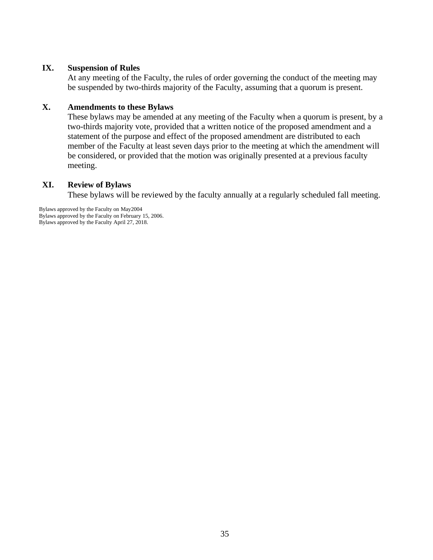#### <span id="page-34-0"></span>**IX. Suspension of Rules**

At any meeting of the Faculty, the rules of order governing the conduct of the meeting may be suspended by two-thirds majority of the Faculty, assuming that a quorum is present.

#### <span id="page-34-1"></span>**X. Amendments to these Bylaws**

These bylaws may be amended at any meeting of the Faculty when a quorum is present, by a two-thirds majority vote, provided that a written notice of the proposed amendment and a statement of the purpose and effect of the proposed amendment are distributed to each member of the Faculty at least seven days prior to the meeting at which the amendment will be considered, or provided that the motion was originally presented at a previous faculty meeting.

#### <span id="page-34-2"></span>**XI. Review of Bylaws**

These bylaws will be reviewed by the faculty annually at a regularly scheduled fall meeting.

Bylaws approved by the Faculty on May2004 Bylaws approved by the Faculty on February 15, 2006. Bylaws approved by the Faculty April 27, 2018.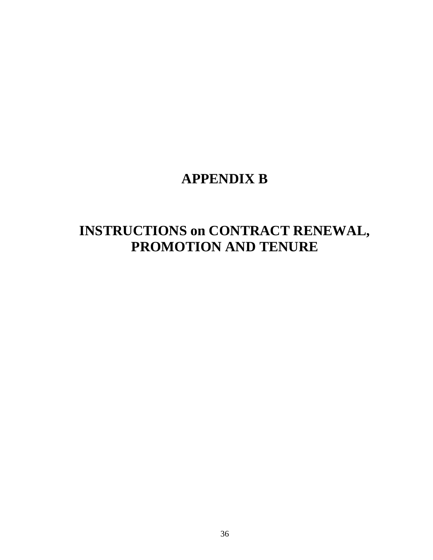# **APPENDIX B**

# **INSTRUCTIONS on CONTRACT RENEWAL, PROMOTION AND TENURE**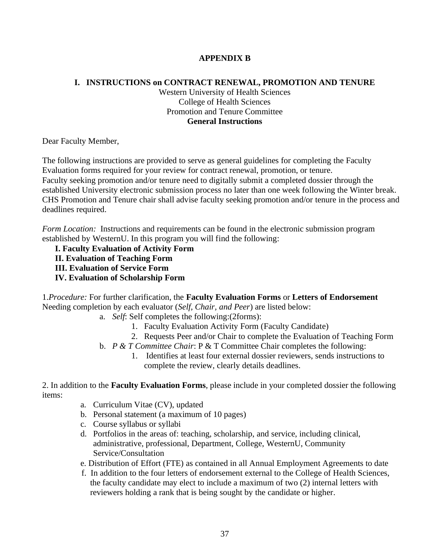#### **APPENDIX B**

#### <span id="page-36-0"></span>**I. INSTRUCTIONS on CONTRACT RENEWAL, PROMOTION AND TENURE**

Western University of Health Sciences College of Health Sciences Promotion and Tenure Committee **General Instructions**

Dear Faculty Member,

The following instructions are provided to serve as general guidelines for completing the Faculty Evaluation forms required for your review for contract renewal, promotion, or tenure. Faculty seeking promotion and/or tenure need to digitally submit a completed dossier through the established University electronic submission process no later than one week following the Winter break. CHS Promotion and Tenure chair shall advise faculty seeking promotion and/or tenure in the process and deadlines required.

*Form Location:* Instructions and requirements can be found in the electronic submission program established by WesternU. In this program you will find the following:

**I. Faculty Evaluation of Activity Form**

**II. Evaluation of Teaching Form**

- **III. Evaluation of Service Form**
- **IV. Evaluation of Scholarship Form**

1.*Procedure:* For further clarification, the **Faculty Evaluation Forms** or **Letters of Endorsement** Needing completion by each evaluator (*Self, Chair, and Peer*) are listed below:

- a. *Self*: Self completes the following:(2forms):
	- 1. Faculty Evaluation Activity Form (Faculty Candidate)
	- 2. Requests Peer and/or Chair to complete the Evaluation of Teaching Form
- b. *P & T Committee Chair*: P & T Committee Chair completes the following:
	- 1. Identifies at least four external dossier reviewers, sends instructions to complete the review, clearly details deadlines.

2. In addition to the **Faculty Evaluation Forms**, please include in your completed dossier the following items:

- a. Curriculum Vitae (CV), updated
- b. Personal statement (a maximum of 10 pages)
- c. Course syllabus or syllabi
- d. Portfolios in the areas of: teaching, scholarship, and service, including clinical, administrative, professional, Department, College, WesternU, Community Service/Consultation
- e. Distribution of Effort (FTE) as contained in all Annual Employment Agreements to date
- f. In addition to the four letters of endorsement external to the College of Health Sciences, the faculty candidate may elect to include a maximum of two (2) internal letters with reviewers holding a rank that is being sought by the candidate or higher.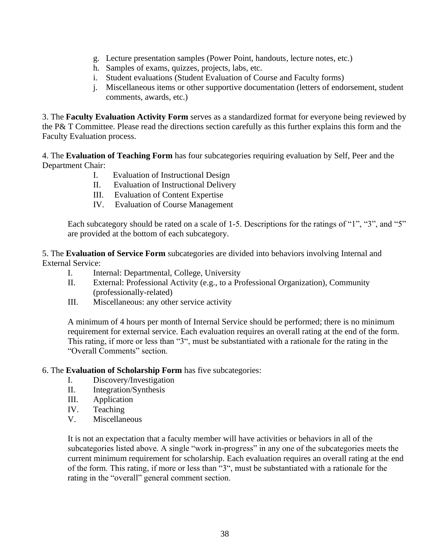- g. Lecture presentation samples (Power Point, handouts, lecture notes, etc.)
- h. Samples of exams, quizzes, projects, labs, etc.
- i. Student evaluations (Student Evaluation of Course and Faculty forms)
- j. Miscellaneous items or other supportive documentation (letters of endorsement, student comments, awards, etc.)

3. The **Faculty Evaluation Activity Form** serves as a standardized format for everyone being reviewed by the P& T Committee. Please read the directions section carefully as this further explains this form and the Faculty Evaluation process.

4. The **Evaluation of Teaching Form** has four subcategories requiring evaluation by Self, Peer and the Department Chair:

- I. Evaluation of Instructional Design
- II. Evaluation of Instructional Delivery
- III. Evaluation of Content Expertise
- IV. Evaluation of Course Management

Each subcategory should be rated on a scale of 1-5. Descriptions for the ratings of "1", "3", and "5" are provided at the bottom of each subcategory.

5. The **Evaluation of Service Form** subcategories are divided into behaviors involving Internal and External Service:

- I. Internal: Departmental, College, University
- II. External: Professional Activity (e.g., to a Professional Organization), Community (professionally-related)
- III. Miscellaneous: any other service activity

A minimum of 4 hours per month of Internal Service should be performed; there is no minimum requirement for external service. Each evaluation requires an overall rating at the end of the form. This rating, if more or less than "3", must be substantiated with a rationale for the rating in the "Overall Comments" section.

#### 6. The **Evaluation of Scholarship Form** has five subcategories:

- I. Discovery/Investigation
- II. Integration/Synthesis
- III. Application
- IV. Teaching
- V. Miscellaneous

It is not an expectation that a faculty member will have activities or behaviors in all of the subcategories listed above. A single "work in-progress" in any one of the subcategories meets the current minimum requirement for scholarship. Each evaluation requires an overall rating at the end of the form. This rating, if more or less than "3", must be substantiated with a rationale for the rating in the "overall" general comment section.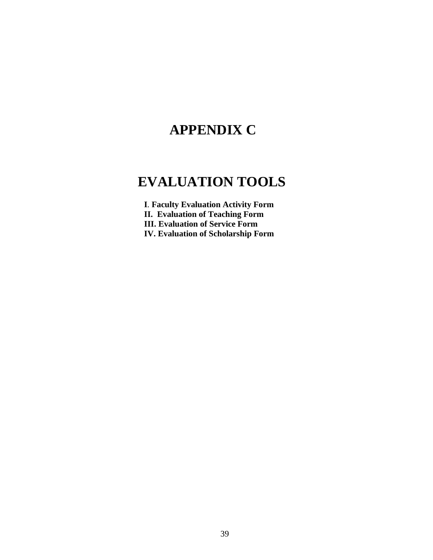# **APPENDIX C**

# **EVALUATION TOOLS**

**I***.* **Faculty Evaluation Activity Form**

**II. Evaluation of Teaching Form**

**III. Evaluation of Service Form**

**IV. Evaluation of Scholarship Form**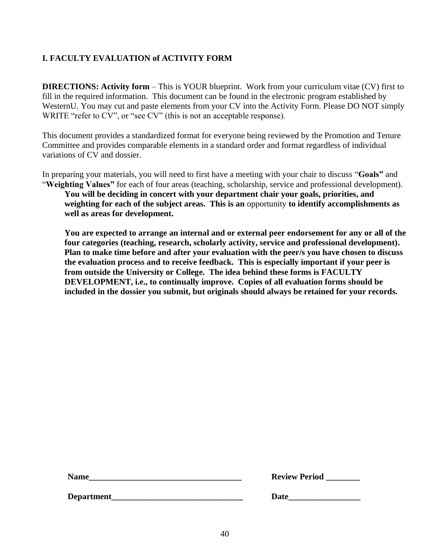# <span id="page-39-0"></span>**I. FACULTY EVALUATION of ACTIVITY FORM**

**DIRECTIONS: Activity form** – This is YOUR blueprint. Work from your curriculum vitae (CV) first to fill in the required information. This document can be found in the electronic program established by WesternU. You may cut and paste elements from your CV into the Activity Form. Please DO NOT simply WRITE "refer to CV", or "see CV" (this is not an acceptable response).

This document provides a standardized format for everyone being reviewed by the Promotion and Tenure Committee and provides comparable elements in a standard order and format regardless of individual variations of CV and dossier.

In preparing your materials, you will need to first have a meeting with your chair to discuss "**Goals"** and "**Weighting Values"** for each of four areas (teaching, scholarship, service and professional development).

**You will be deciding in concert with your department chair your goals, priorities, and weighting for each of the subject areas. This is an** opportunity **to identify accomplishments as well as areas for development.**

**You are expected to arrange an internal and or external peer endorsement for any or all of the four categories (teaching, research, scholarly activity, service and professional development). Plan to make time before and after your evaluation with the peer/s you have chosen to discuss the evaluation process and to receive feedback. This is especially important if your peer is from outside the University or College. The idea behind these forms is FACULTY DEVELOPMENT, i.e., to continually improve. Copies of all evaluation forms should be included in the dossier you submit, but originals should always be retained for your records.**

| <b>Name</b> | <b>Review Period</b> |
|-------------|----------------------|
|             |                      |

| <b>Review Period</b> |  |
|----------------------|--|
|----------------------|--|

**Department\_\_\_\_\_\_\_\_\_\_\_\_\_\_\_\_\_\_\_\_\_\_\_\_\_\_\_\_\_\_\_ Date\_\_\_\_\_\_\_\_\_\_\_\_\_\_\_\_\_**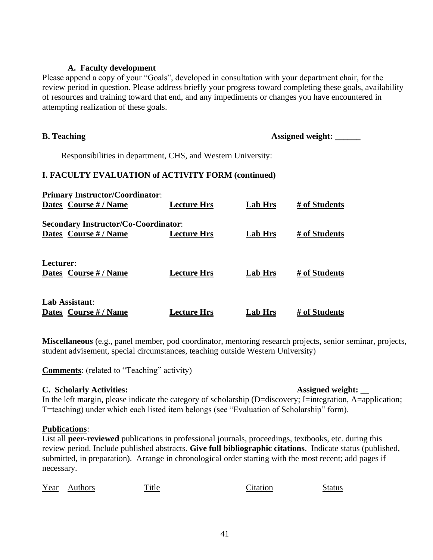#### **A. Faculty development**

Please append a copy of your "Goals", developed in consultation with your department chair, for the review period in question. Please address briefly your progress toward completing these goals, availability of resources and training toward that end, and any impediments or changes you have encountered in attempting realization of these goals.

**B. Teaching Assigned weight:** \_\_\_\_\_\_\_

Responsibilities in department, CHS, and Western University:

#### **I. FACULTY EVALUATION of ACTIVITY FORM (continued)**

| <b>Primary Instructor/Coordinator:</b>                               |                    |                |               |
|----------------------------------------------------------------------|--------------------|----------------|---------------|
| Dates Course # / Name                                                | <b>Lecture Hrs</b> | <b>Lab Hrs</b> | # of Students |
| <b>Secondary Instructor/Co-Coordinator:</b><br>Dates Course # / Name | <b>Lecture Hrs</b> | Lab Hrs        | # of Students |
| Lecturer:<br>Dates Course # / Name                                   | <b>Lecture Hrs</b> | Lab Hrs        | # of Students |
| <b>Lab Assistant:</b><br>Dates Course # / Name                       | <b>Lecture Hrs</b> | <b>Lab Hrs</b> | # of Students |

**Miscellaneous** (e.g., panel member, pod coordinator, mentoring research projects, senior seminar, projects, student advisement, special circumstances, teaching outside Western University)

**Comments**: (related to "Teaching" activity)

#### **C. Scholarly Activities: Assigned weight: \_\_**

In the left margin, please indicate the category of scholarship (D=discovery; I=integration, A=application; T=teaching) under which each listed item belongs (see "Evaluation of Scholarship" form).

#### **Publications**:

List all **peer-reviewed** publications in professional journals, proceedings, textbooks, etc. during this review period. Include published abstracts. **Give full bibliographic citations**. Indicate status (published, submitted, in preparation). Arrange in chronological order starting with the most recent; add pages if necessary.

| Year | <b>Authors</b> | . itle | \tation | status |
|------|----------------|--------|---------|--------|
|      |                |        |         |        |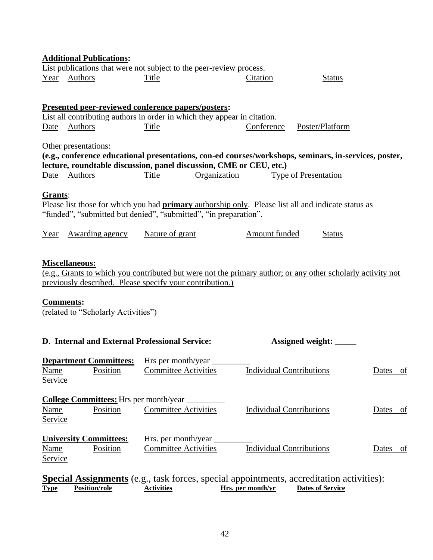| <b>Additional Publications:</b><br>List publications that were not subject to the peer-review process.                                                                                                                                                                              |                                                                                                                                                                                                                                                             |                                                                                                                                                                                |                                 |                         |                    |  |  |  |  |  |
|-------------------------------------------------------------------------------------------------------------------------------------------------------------------------------------------------------------------------------------------------------------------------------------|-------------------------------------------------------------------------------------------------------------------------------------------------------------------------------------------------------------------------------------------------------------|--------------------------------------------------------------------------------------------------------------------------------------------------------------------------------|---------------------------------|-------------------------|--------------------|--|--|--|--|--|
|                                                                                                                                                                                                                                                                                     | Year Authors                                                                                                                                                                                                                                                | Title                                                                                                                                                                          | Citation                        | <b>Status</b>           |                    |  |  |  |  |  |
|                                                                                                                                                                                                                                                                                     | <b>Presented peer-reviewed conference papers/posters:</b><br>List all contributing authors in order in which they appear in citation.<br>Conference<br>Poster/Platform<br>Authors<br>Title<br>Date                                                          |                                                                                                                                                                                |                                 |                         |                    |  |  |  |  |  |
| Other presentations:<br>(e.g., conference educational presentations, con-ed courses/workshops, seminars, in-services, poster,<br>lecture, roundtable discussion, panel discussion, CME or CEU, etc.)<br>Date Authors<br><b>Title</b><br>Organization<br><b>Type of Presentation</b> |                                                                                                                                                                                                                                                             |                                                                                                                                                                                |                                 |                         |                    |  |  |  |  |  |
| Grants:                                                                                                                                                                                                                                                                             |                                                                                                                                                                                                                                                             | Please list those for which you had <b>primary</b> authorship only. Please list all and indicate status as<br>"funded", "submitted but denied", "submitted", "in preparation". |                                 |                         |                    |  |  |  |  |  |
| Year                                                                                                                                                                                                                                                                                | <b>Awarding agency</b>                                                                                                                                                                                                                                      | Nature of grant                                                                                                                                                                | <b>Amount funded</b>            | <b>Status</b>           |                    |  |  |  |  |  |
|                                                                                                                                                                                                                                                                                     | <b>Miscellaneous:</b><br>(e.g., Grants to which you contributed but were not the primary author; or any other scholarly activity not<br>previously described. Please specify your contribution.)<br><b>Comments:</b><br>(related to "Scholarly Activities") |                                                                                                                                                                                |                                 |                         |                    |  |  |  |  |  |
|                                                                                                                                                                                                                                                                                     | D. Internal and External Professional Service:                                                                                                                                                                                                              |                                                                                                                                                                                |                                 | Assigned weight:        |                    |  |  |  |  |  |
| Name<br><u>Service</u>                                                                                                                                                                                                                                                              | <b>Department Committees:</b><br>Position                                                                                                                                                                                                                   | Hrs per month/year<br><b>Committee Activities</b>                                                                                                                              | <b>Individual Contributions</b> |                         | Dates of           |  |  |  |  |  |
| <u>Name</u><br><b>Service</b>                                                                                                                                                                                                                                                       | <b>College Committees:</b> Hrs per month/year<br>Position                                                                                                                                                                                                   | <b>Committee Activities</b>                                                                                                                                                    | <b>Individual Contributions</b> |                         | Dates<br><u>of</u> |  |  |  |  |  |
| <b>Name</b><br><b>Service</b>                                                                                                                                                                                                                                                       | <b>University Committees:</b><br>Position                                                                                                                                                                                                                   | Hrs. per month/year _<br><b>Committee Activities</b>                                                                                                                           | <b>Individual Contributions</b> |                         | Dates of           |  |  |  |  |  |
| <b>Type</b>                                                                                                                                                                                                                                                                         | Position/role                                                                                                                                                                                                                                               | <b>Special Assignments</b> (e.g., task forces, special appointments, accreditation activities):<br><b>Activities</b>                                                           | Hrs. per month/yr               | <b>Dates of Service</b> |                    |  |  |  |  |  |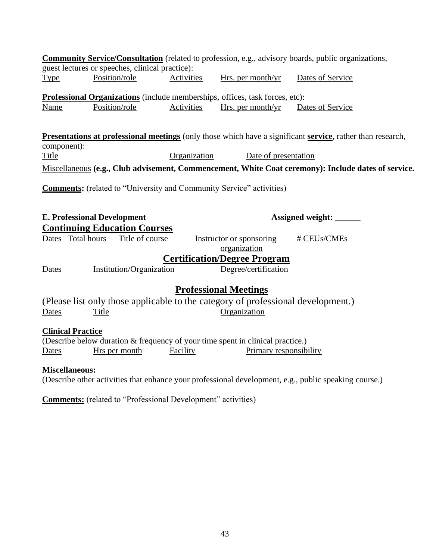|                          |                                                                                     |                   |                                          | <b>Community Service/Consultation</b> (related to profession, e.g., advisory boards, public organizations,                       |
|--------------------------|-------------------------------------------------------------------------------------|-------------------|------------------------------------------|----------------------------------------------------------------------------------------------------------------------------------|
|                          | guest lectures or speeches, clinical practice):                                     |                   |                                          |                                                                                                                                  |
| <b>Type</b>              | Position/role                                                                       | Activities        | Hrs. per month/yr                        | Dates of Service                                                                                                                 |
|                          | <b>Professional Organizations</b> (include memberships, offices, task forces, etc): |                   |                                          |                                                                                                                                  |
| <b>Name</b>              | Position/role                                                                       | <b>Activities</b> | Hrs. per month/ $yr$                     | Dates of Service                                                                                                                 |
| component):              |                                                                                     |                   |                                          | <b>Presentations at professional meetings</b> (only those which have a significant <b>service</b> , rather than research,        |
| <b>Title</b>             |                                                                                     | Organization      | Date of presentation                     |                                                                                                                                  |
|                          |                                                                                     |                   |                                          | Miscellaneous (e.g., Club advisement, Commencement, White Coat ceremony): Include dates of service.                              |
|                          | <b>Comments:</b> (related to "University and Community Service" activities)         |                   |                                          |                                                                                                                                  |
|                          | <b>E. Professional Development</b>                                                  |                   |                                          | Assigned weight: _____                                                                                                           |
|                          | <b>Continuing Education Courses</b>                                                 |                   |                                          |                                                                                                                                  |
| Dates Total hours        | Title of course                                                                     |                   | Instructor or sponsoring<br>organization | # CEUs/CMEs                                                                                                                      |
|                          |                                                                                     |                   | <b>Certification/Degree Program</b>      |                                                                                                                                  |
| Dates                    | Institution/Organization                                                            |                   | Degree/certification                     |                                                                                                                                  |
|                          |                                                                                     |                   | <b>Professional Meetings</b>             |                                                                                                                                  |
|                          | (Please list only those applicable to the category of professional development.)    |                   |                                          |                                                                                                                                  |
| Dates                    | Title                                                                               |                   | Organization                             |                                                                                                                                  |
| <b>Clinical Practice</b> | (Describe below duration & frequency of your time spent in clinical practice.)      |                   |                                          |                                                                                                                                  |
| Dates                    | Hrs per month                                                                       | Facility          | Primary responsibility                   |                                                                                                                                  |
| <b>Miscellaneous:</b>    |                                                                                     |                   |                                          | $(D_1, \ldots, D_n)$ , then called the deal of each construction of development of the solution of the constitution of $\lambda$ |

(Describe other activities that enhance your professional development, e.g., public speaking course.)

**Comments:** (related to "Professional Development" activities)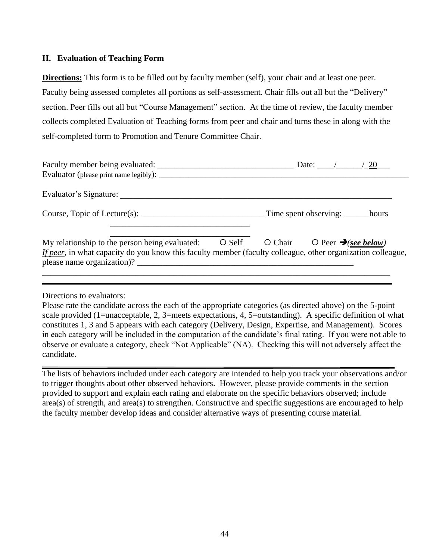#### <span id="page-43-0"></span>**II. Evaluation of Teaching Form**

**Directions:** This form is to be filled out by faculty member (self), your chair and at least one peer. Faculty being assessed completes all portions as self-assessment. Chair fills out all but the "Delivery" section. Peer fills out all but "Course Management" section. At the time of review, the faculty member collects completed Evaluation of Teaching forms from peer and chair and turns these in along with the self-completed form to Promotion and Tenure Committee Chair.

| Evaluator (please print name legibly):                                                                                                                                                      | Date: $\angle 20$                                                              |
|---------------------------------------------------------------------------------------------------------------------------------------------------------------------------------------------|--------------------------------------------------------------------------------|
| Evaluator's Signature:                                                                                                                                                                      |                                                                                |
|                                                                                                                                                                                             |                                                                                |
| My relationship to the person being evaluated:<br>If peer, in what capacity do you know this faculty member (faculty colleague, other organization colleague,<br>please name organization)? | $\bigcirc$ Self $\bigcirc$ Chair $\bigcirc$ Peer $\bigcirc$ <i>See below</i> ) |

Directions to evaluators:

Please rate the candidate across the each of the appropriate categories (as directed above) on the 5-point scale provided (1=unacceptable, 2, 3=meets expectations, 4, 5=outstanding). A specific definition of what constitutes 1, 3 and 5 appears with each category (Delivery, Design, Expertise, and Management). Scores in each category will be included in the computation of the candidate's final rating. If you were not able to observe or evaluate a category, check "Not Applicable" (NA). Checking this will not adversely affect the candidate.

The lists of behaviors included under each category are intended to help you track your observations and/or to trigger thoughts about other observed behaviors. However, please provide comments in the section provided to support and explain each rating and elaborate on the specific behaviors observed; include area(s) of strength, and area(s) to strengthen. Constructive and specific suggestions are encouraged to help the faculty member develop ideas and consider alternative ways of presenting course material.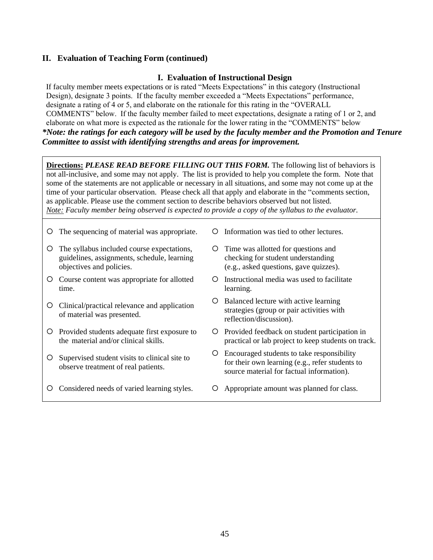#### **I. Evaluation of Instructional Design**

If faculty member meets expectations or is rated "Meets Expectations" in this category (Instructional Design), designate 3 points. If the faculty member exceeded a "Meets Expectations" performance, designate a rating of 4 or 5, and elaborate on the rationale for this rating in the "OVERALL COMMENTS" below. If the faculty member failed to meet expectations, designate a rating of 1 or 2, and elaborate on what more is expected as the rationale for the lower rating in the "COMMENTS" below *\*Note: the ratings for each category will be used by the faculty member and the Promotion and Tenure Committee to assist with identifying strengths and areas for improvement.*

**Directions:** *PLEASE READ BEFORE FILLING OUT THIS FORM.* The following list of behaviors is not all-inclusive, and some may not apply. The list is provided to help you complete the form. Note that some of the statements are not applicable or necessary in all situations, and some may not come up at the time of your particular observation. Please check all that apply and elaborate in the "comments section, as applicable. Please use the comment section to describe behaviors observed but not listed. *Note: Faculty member being observed is expected to provide a copy of the syllabus to the evaluator.* 

- O The sequencing of material was appropriate. O Information was tied to other lectures.
- O The syllabus included course expectations, guidelines, assignments, schedule, learning objectives and policies.
- Course content was appropriate for allotted time.
- Clinical/practical relevance and application of material was presented.
- Provided students adequate first exposure to the material and/or clinical skills.
- Supervised student visits to clinical site to observe treatment of real patients.
- O Considered needs of varied learning styles.  $\circ$  Appropriate amount was planned for class.
- 
- O Time was allotted for questions and checking for student understanding (e.g., asked questions, gave quizzes).
- Instructional media was used to facilitate learning.
- O Balanced lecture with active learning strategies (group or pair activities with reflection/discussion).
- Provided feedback on student participation in practical or lab project to keep students on track.
- Encouraged students to take responsibility for their own learning (e.g., refer students to source material for factual information).
-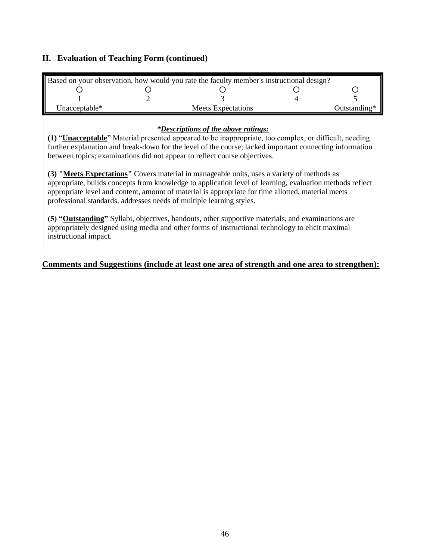| Based on your observation, how would you rate the faculty member's instructional design? |  |                                                                                                                                                                                                                                                                                                                                                                                                                                                                                                                                                                                                                                                                                                                                                                                                                                                                                                                                               |  |              |  |
|------------------------------------------------------------------------------------------|--|-----------------------------------------------------------------------------------------------------------------------------------------------------------------------------------------------------------------------------------------------------------------------------------------------------------------------------------------------------------------------------------------------------------------------------------------------------------------------------------------------------------------------------------------------------------------------------------------------------------------------------------------------------------------------------------------------------------------------------------------------------------------------------------------------------------------------------------------------------------------------------------------------------------------------------------------------|--|--------------|--|
|                                                                                          |  |                                                                                                                                                                                                                                                                                                                                                                                                                                                                                                                                                                                                                                                                                                                                                                                                                                                                                                                                               |  |              |  |
|                                                                                          |  |                                                                                                                                                                                                                                                                                                                                                                                                                                                                                                                                                                                                                                                                                                                                                                                                                                                                                                                                               |  |              |  |
| Unacceptable*                                                                            |  | <b>Meets Expectations</b>                                                                                                                                                                                                                                                                                                                                                                                                                                                                                                                                                                                                                                                                                                                                                                                                                                                                                                                     |  | Outstanding* |  |
| instructional impact.                                                                    |  | <i>*Descriptions of the above ratings:</i><br>(1) "Unacceptable" Material presented appeared to be inappropriate, too complex, or difficult, needing<br>further explanation and break-down for the level of the course; lacked important connecting information<br>between topics; examinations did not appear to reflect course objectives.<br>(3) "Meets Expectations" Covers material in manageable units, uses a variety of methods as<br>appropriate, builds concepts from knowledge to application level of learning, evaluation methods reflect<br>appropriate level and content, amount of material is appropriate for time allotted, material meets<br>professional standards, addresses needs of multiple learning styles.<br>(5) "Outstanding" Syllabi, objectives, handouts, other supportive materials, and examinations are<br>appropriately designed using media and other forms of instructional technology to elicit maximal |  |              |  |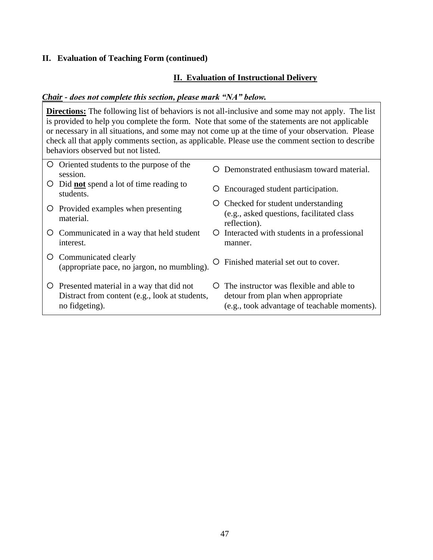### **II. Evaluation of Instructional Delivery**

#### *Chair - does not complete this section, please mark "NA" below.*

**Directions:** The following list of behaviors is not all-inclusive and some may not apply. The list is provided to help you complete the form. Note that some of the statements are not applicable or necessary in all situations, and some may not come up at the time of your observation. Please check all that apply comments section, as applicable. Please use the comment section to describe behaviors observed but not listed.

| $\circ$ | Oriented students to the purpose of the<br>session.                                                          | $\left( \right)$ | Demonstrated enthusiasm toward material.                                                                                     |
|---------|--------------------------------------------------------------------------------------------------------------|------------------|------------------------------------------------------------------------------------------------------------------------------|
| Ő       | Did <b>not</b> spend a lot of time reading to<br>students.                                                   | Ő                | Encouraged student participation.                                                                                            |
|         | O Provided examples when presenting<br>material.                                                             | Ő                | Checked for student understanding<br>(e.g., asked questions, facilitated class)<br>reflection).                              |
|         | O Communicated in a way that held student<br>interest.                                                       | Ő                | Interacted with students in a professional<br>manner.                                                                        |
| Ő       | Communicated clearly<br>(appropriate pace, no jargon, no mumbling).                                          |                  | Finished material set out to cover.                                                                                          |
| Ő       | Presented material in a way that did not<br>Distract from content (e.g., look at students,<br>no fidgeting). | $\left( \right)$ | The instructor was flexible and able to<br>detour from plan when appropriate<br>(e.g., took advantage of teachable moments). |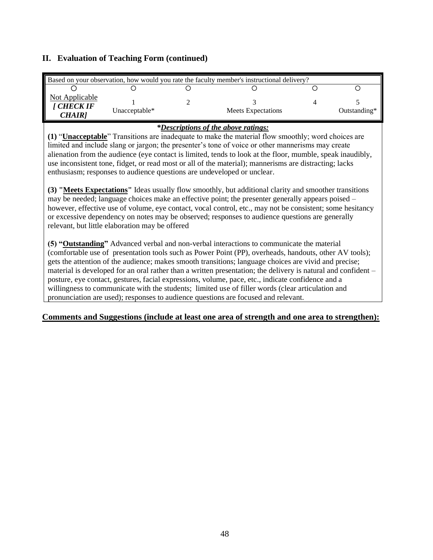| Based on your observation, how would you rate the faculty member's instructional delivery? |               |  |                           |  |                 |  |  |
|--------------------------------------------------------------------------------------------|---------------|--|---------------------------|--|-----------------|--|--|
|                                                                                            |               |  |                           |  |                 |  |  |
| Not Applicable<br><b>CHECK IF</b><br>CHAIR]                                                | Unacceptable* |  | <b>Meets Expectations</b> |  | Outstanding $*$ |  |  |

#### *\*Descriptions of the above ratings:*

**(1)** "**Unacceptable**" Transitions are inadequate to make the material flow smoothly; word choices are limited and include slang or jargon; the presenter's tone of voice or other mannerisms may create alienation from the audience (eye contact is limited, tends to look at the floor, mumble, speak inaudibly, use inconsistent tone, fidget, or read most or all of the material); mannerisms are distracting; lacks enthusiasm; responses to audience questions are undeveloped or unclear.

**(3) "Meets Expectations"** Ideas usually flow smoothly, but additional clarity and smoother transitions may be needed; language choices make an effective point; the presenter generally appears poised – however, effective use of volume, eye contact, vocal control, etc., may not be consistent; some hesitancy or excessive dependency on notes may be observed; responses to audience questions are generally relevant, but little elaboration may be offered

**(5) "Outstanding"** Advanced verbal and non-verbal interactions to communicate the material (comfortable use of presentation tools such as Power Point (PP), overheads, handouts, other AV tools); gets the attention of the audience; makes smooth transitions; language choices are vivid and precise; material is developed for an oral rather than a written presentation; the delivery is natural and confident – posture, eye contact, gestures, facial expressions, volume, pace, etc., indicate confidence and a willingness to communicate with the students; limited use of filler words (clear articulation and pronunciation are used); responses to audience questions are focused and relevant.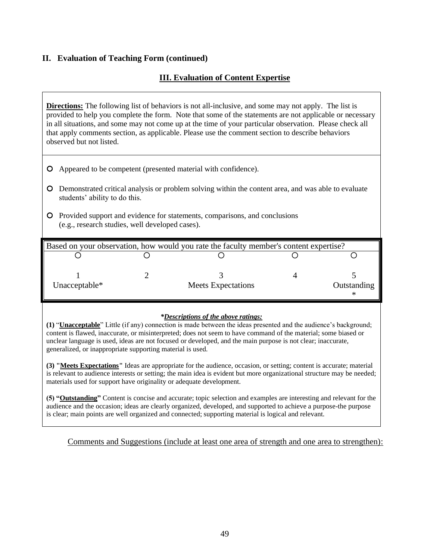### **III. Evaluation of Content Expertise**

**Directions:** The following list of behaviors is not all-inclusive, and some may not apply. The list is provided to help you complete the form. Note that some of the statements are not applicable or necessary in all situations, and some may not come up at the time of your particular observation. Please check all that apply comments section, as applicable. Please use the comment section to describe behaviors observed but not listed.

- Appeared to be competent (presented material with confidence).
- Demonstrated critical analysis or problem solving within the content area, and was able to evaluate students' ability to do this.
- Provided support and evidence for statements, comparisons, and conclusions (e.g., research studies, well developed cases).

|               | Based on your observation, how would you rate the faculty member's content expertise? |             |
|---------------|---------------------------------------------------------------------------------------|-------------|
|               |                                                                                       |             |
| Unacceptable* | <b>Meets Expectations</b>                                                             | Outstanding |
|               |                                                                                       |             |

#### *\*Descriptions of the above ratings:*

**(1)** "**Unacceptable**" Little (if any) connection is made between the ideas presented and the audience's background; content is flawed, inaccurate, or misinterpreted; does not seem to have command of the material; some biased or unclear language is used, ideas are not focused or developed, and the main purpose is not clear; inaccurate, generalized, or inappropriate supporting material is used.

**(3) "Meets Expectations"** Ideas are appropriate for the audience, occasion, or setting; content is accurate; material is relevant to audience interests or setting; the main idea is evident but more organizational structure may be needed; materials used for support have originality or adequate development.

**(5) "Outstanding"** Content is concise and accurate; topic selection and examples are interesting and relevant for the audience and the occasion; ideas are clearly organized, developed, and supported to achieve a purpose-the purpose is clear; main points are well organized and connected; supporting material is logical and relevant.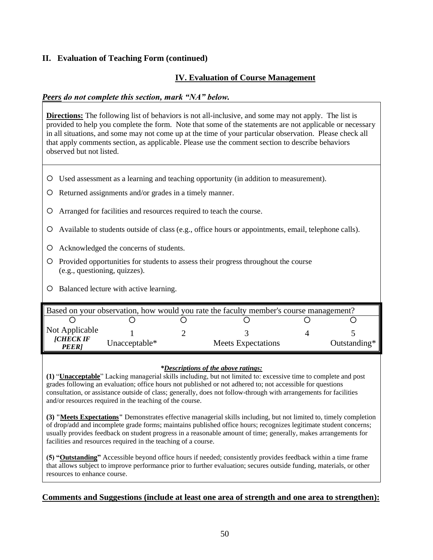### **IV. Evaluation of Course Management**

#### *Peers do not complete this section, mark "NA" below.*

**Directions:** The following list of behaviors is not all-inclusive, and some may not apply. The list is provided to help you complete the form. Note that some of the statements are not applicable or necessary in all situations, and some may not come up at the time of your particular observation. Please check all that apply comments section, as applicable. Please use the comment section to describe behaviors observed but not listed.

- Used assessment as a learning and teaching opportunity (in addition to measurement).
- Returned assignments and/or grades in a timely manner.
- Arranged for facilities and resources required to teach the course.
- Available to students outside of class (e.g., office hours or appointments, email, telephone calls).
- Acknowledged the concerns of students.
- Provided opportunities for students to assess their progress throughout the course (e.g., questioning, quizzes).
- O Balanced lecture with active learning.

| Based on your observation, how would you rate the faculty member's course management? |               |                           |  |              |  |  |  |
|---------------------------------------------------------------------------------------|---------------|---------------------------|--|--------------|--|--|--|
|                                                                                       |               |                           |  |              |  |  |  |
| Not Applicable<br><b>[CHECK IF</b><br><b>PEER</b>                                     | Unacceptable* | <b>Meets Expectations</b> |  | Outstanding* |  |  |  |

#### *\*Descriptions of the above ratings:*

**(1)** "**Unacceptable**" Lacking managerial skills including, but not limited to: excessive time to complete and post grades following an evaluation; office hours not published or not adhered to; not accessible for questions consultation, or assistance outside of class; generally, does not follow-through with arrangements for facilities and/or resources required in the teaching of the course.

**(3) "Meets Expectations"** Demonstrates effective managerial skills including, but not limited to, timely completion of drop/add and incomplete grade forms; maintains published office hours; recognizes legitimate student concerns; usually provides feedback on student progress in a reasonable amount of time; generally, makes arrangements for facilities and resources required in the teaching of a course.

**(5) "Outstanding"** Accessible beyond office hours if needed; consistently provides feedback within a time frame that allows subject to improve performance prior to further evaluation; secures outside funding, materials, or other resources to enhance course.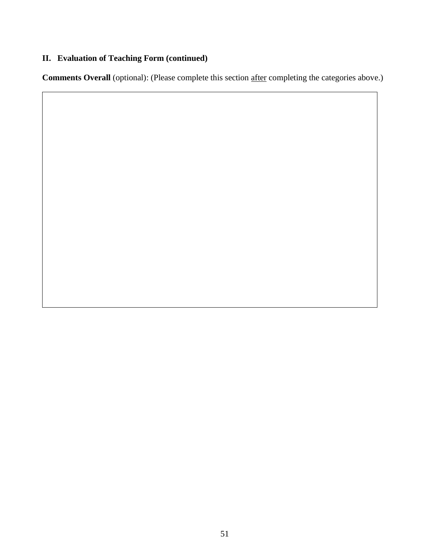**Comments Overall** (optional): (Please complete this section after completing the categories above.)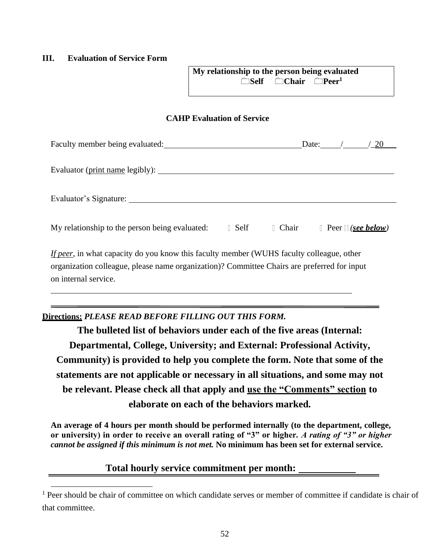#### <span id="page-51-0"></span>**III. Evaluation of Service Form**

| My relationship to the person being evaluated |                                                        |  |
|-----------------------------------------------|--------------------------------------------------------|--|
|                                               | <del>nation</del> Self and Chair and Peer <sup>1</sup> |  |

#### **CAHP Evaluation of Service**

| Faculty member being evaluated: The Contract of the Contract of the Contract of Tachente Contract of the Contract of Tachente Contract of the Contract of Tachente Contract of the Contract of the Contract of the Contract of | Date: $/20$                                   |
|--------------------------------------------------------------------------------------------------------------------------------------------------------------------------------------------------------------------------------|-----------------------------------------------|
|                                                                                                                                                                                                                                |                                               |
|                                                                                                                                                                                                                                |                                               |
| I Self<br>My relationship to the person being evaluated:                                                                                                                                                                       | Chair Chair<br>$\Box$ Peer $\Box$ (see below) |
| <i>If peer</i> , in what capacity do you know this faculty member (WUHS faculty colleague, other<br>organization colleague, please name organization)? Committee Chairs are preferred for input<br>on internal service.        |                                               |

# **Directions:** *PLEASE READ BEFORE FILLING OUT THIS FORM.*

**The bulleted list of behaviors under each of the five areas (Internal: Departmental, College, University; and External: Professional Activity, Community) is provided to help you complete the form. Note that some of the statements are not applicable or necessary in all situations, and some may not be relevant. Please check all that apply and use the "Comments" section to elaborate on each of the behaviors marked.**

**An average of 4 hours per month should be performed internally (to the department, college, or university) in order to receive an overall rating of "3" or higher***. A rating of "3" or higher cannot be assigned if this minimum is not met.* **No minimum has been set for external service.**

# **Total hourly service commitment per month:**

<sup>&</sup>lt;sup>1</sup> Peer should be chair of committee on which candidate serves or member of committee if candidate is chair of that committee.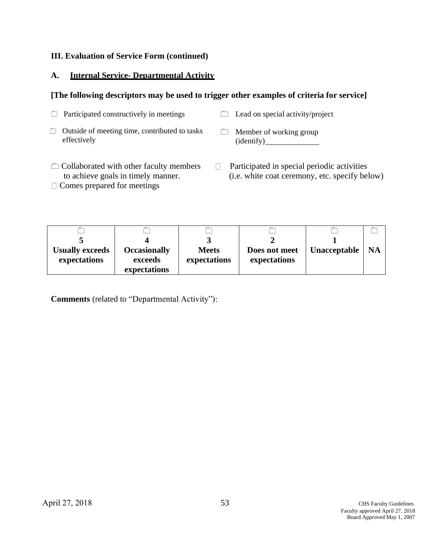#### **A. Internal Service- Departmental Activity**

#### **[The following descriptors may be used to trigger other examples of criteria for service]**

| $\Box$ Participated constructively in meetings                      | $\Box$ Lead on special activity/project      |
|---------------------------------------------------------------------|----------------------------------------------|
| $\Box$ Outside of meeting time, contributed to tasks<br>effectively | $\Box$ Member of working group<br>(identity) |

- $\Box$  Collaborated with other faculty members to achieve goals in timely manner.
- $\Box$  Comes prepared for meetings
- Participated in special periodic activities  $\Box$ (i.e. white coat ceremony, etc. specify below)

| <b>Usually exceeds</b><br>expectations | <b>Occasionally</b><br>exceeds | <b>Meets</b><br>expectations | Does not meet<br>expectations | <b>Unacceptable</b> | <b>NA</b> |
|----------------------------------------|--------------------------------|------------------------------|-------------------------------|---------------------|-----------|
|                                        | expectations                   |                              |                               |                     |           |

**Comments** (related to "Departmental Activity"):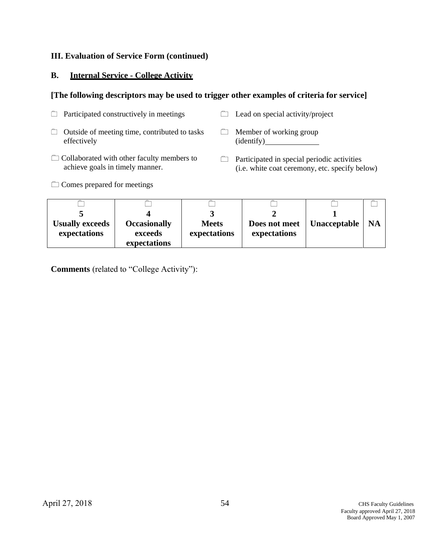#### **B. Internal Service - College Activity**

#### **[The following descriptors may be used to trigger other examples of criteria for service]**

| $\Box$ Participated constructively in meetings                      | $\Box$ Lead on special activity/project      |
|---------------------------------------------------------------------|----------------------------------------------|
| $\Box$ Outside of meeting time, contributed to tasks<br>effectively | $\Box$ Member of working group<br>(identity) |
| m Callelanded with attain fourther members to                       |                                              |

- $\Box$  Collaborated with other faculty members to achieve goals in timely manner.
- $\Box$  Participated in special periodic activities (i.e. white coat ceremony, etc. specify below)

Comes prepared for meetings

| <b>Usually exceeds</b><br>expectations | <b>Occasionally</b><br>exceeds<br>expectations | <b>Meets</b><br>expectations | Does not meet<br>expectations | Unacceptable | <b>NA</b> |
|----------------------------------------|------------------------------------------------|------------------------------|-------------------------------|--------------|-----------|

**Comments** (related to "College Activity"):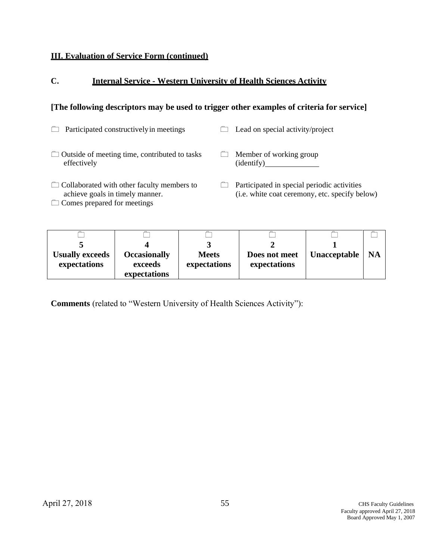# **C. Internal Service - Western University of Health Sciences Activity**

# **[The following descriptors may be used to trigger other examples of criteria for service]**

| Participated constructively in meetings                                                                                    | Lead on special activity/project                                                              |
|----------------------------------------------------------------------------------------------------------------------------|-----------------------------------------------------------------------------------------------|
| $\Box$ Outside of meeting time, contributed to tasks<br>effectively                                                        | Member of working group<br>(identify)                                                         |
| $\Box$ Collaborated with other faculty members to<br>achieve goals in timely manner.<br>$\Box$ Comes prepared for meetings | Participated in special periodic activities<br>(i.e. white coat ceremony, etc. specify below) |

| <b>Usually exceeds</b><br>expectations | <b>Occasionally</b><br>exceeds<br>expectations | <b>Meets</b><br>expectations | Does not meet<br>expectations | <b>Unacceptable</b> | <b>NA</b> |
|----------------------------------------|------------------------------------------------|------------------------------|-------------------------------|---------------------|-----------|

**Comments** (related to "Western University of Health Sciences Activity"):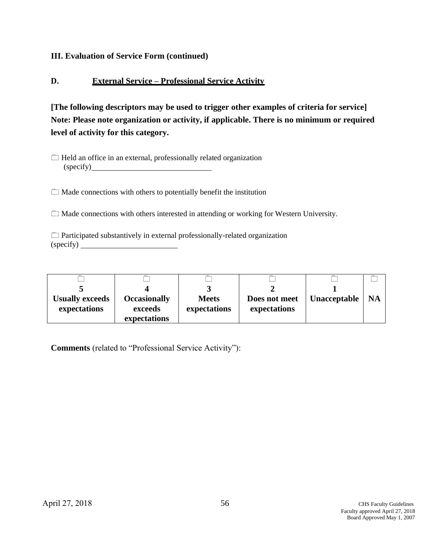#### **D. External Service – Professional Service Activity**

**[The following descriptors may be used to trigger other examples of criteria for service] Note: Please note organization or activity, if applicable. There is no minimum or required level of activity for this category.**

 $\Box$  Made connections with others to potentially benefit the institution

 $\Box$  Made connections with others interested in attending or working for Western University.

 $\Box$  Participated substantively in external professionally-related organization (specify)

| <b>Usually exceeds</b><br>expectations | <b>Occasionally</b><br>exceeds<br>expectations | <b>Meets</b><br>expectations | Does not meet<br>expectations | Unacceptable | <b>NA</b> |
|----------------------------------------|------------------------------------------------|------------------------------|-------------------------------|--------------|-----------|

**Comments** (related to "Professional Service Activity"):

 $\Box$  Held an office in an external, professionally related organization (specify)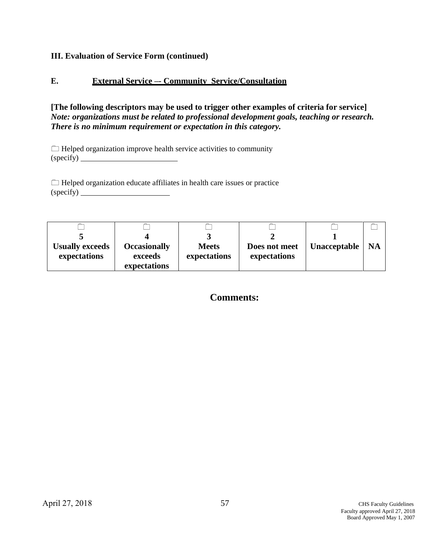### **E. External Service –- Community Service/Consultation**

**[The following descriptors may be used to trigger other examples of criteria for service]**  *Note: organizations must be related to professional development goals, teaching or research. There is no minimum requirement or expectation in this category.*

 $\Box$  Helped organization improve health service activities to community (specify)

 $\Box$  Helped organization educate affiliates in health care issues or practice (specify)

| <b>Usually exceeds</b><br>expectations | <b>Occasionally</b><br>exceeds | <b>Meets</b><br>expectations | Does not meet<br>expectations | Unacceptable | <b>NA</b> |
|----------------------------------------|--------------------------------|------------------------------|-------------------------------|--------------|-----------|
|                                        | expectations                   |                              |                               |              |           |

**Comments:**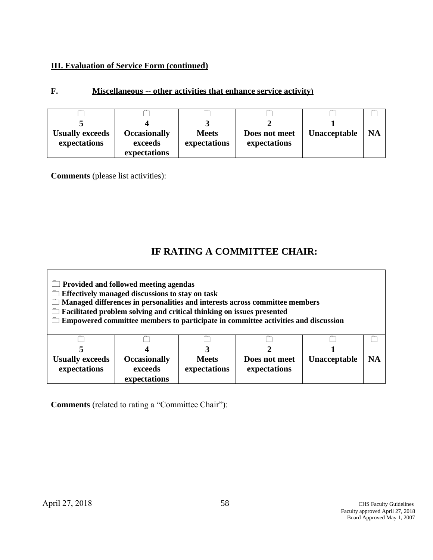| <b>Usually exceeds</b> | <b>Occasionally</b> | <b>Meets</b> | Does not meet | <b>Unacceptable</b> | <b>NA</b> |
|------------------------|---------------------|--------------|---------------|---------------------|-----------|
| expectations           | exceeds             | expectations | expectations  |                     |           |
|                        | expectations        |              |               |                     |           |

#### **F. Miscellaneous -- other activities that enhance service activity)**

**Comments** (please list activities):

# **IF RATING A COMMITTEE CHAIR:**

 **Provided and followed meeting agendas Effectively managed discussions to stay on task Managed differences in personalities and interests across committee members Facilitated problem solving and critical thinking on issues presented Empowered committee members to participate in committee activities and discussion**  $\Box$ **5 Usually exceeds expectations**  $\Box$ **4 Occasionally exceeds expectations**  $\Box$ **3 Meets expectations**  $\Box$ **2 Does not meet expectations**  $\Box$ **1 Unacceptable**  $\Box$ **NA**

**Comments** (related to rating a "Committee Chair"):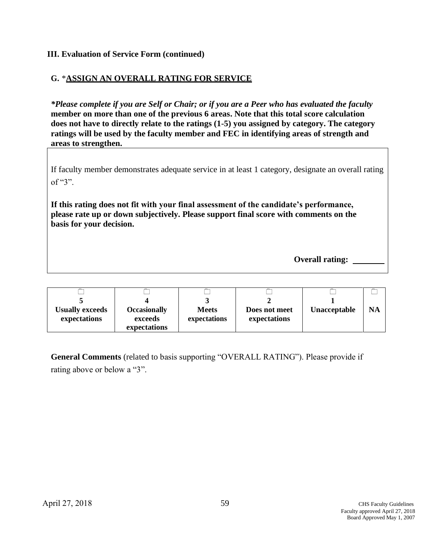#### **G.** \***ASSIGN AN OVERALL RATING FOR SERVICE**

*\*Please complete if you are Self or Chair; or if you are a Peer who has evaluated the faculty*  **member on more than one of the previous 6 areas. Note that this total score calculation does not have to directly relate to the ratings (1-5) you assigned by category. The category ratings will be used by the faculty member and FEC in identifying areas of strength and areas to strengthen.**

If faculty member demonstrates adequate service in at least 1 category, designate an overall rating of "3".

**If this rating does not fit with your final assessment of the candidate's performance, please rate up or down subjectively. Please support final score with comments on the basis for your decision.**

**Overall rating:** 

| <b>Usually exceeds</b><br>expectations | <b>Occasionally</b><br>exceeds<br>expectations | <b>Meets</b><br>expectations | Does not meet<br>expectations | Unacceptable | NA |
|----------------------------------------|------------------------------------------------|------------------------------|-------------------------------|--------------|----|

**General Comments** (related to basis supporting "OVERALL RATING"). Please provide if rating above or below a "3".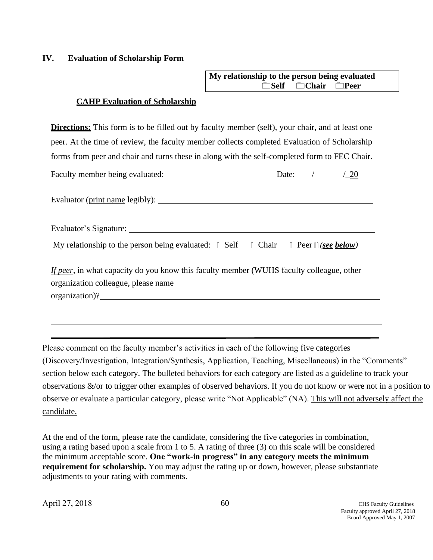#### <span id="page-59-0"></span>**IV. Evaluation of Scholarship Form**

| My relationship to the person being evaluated |                                          |  |
|-----------------------------------------------|------------------------------------------|--|
|                                               | <del>Self</del> <del>∩</del> Chair ∩Peer |  |

#### **CAHP Evaluation of Scholarship**

**Directions:** This form is to be filled out by faculty member (self), your chair, and at least one peer. At the time of review, the faculty member collects completed Evaluation of Scholarship forms from peer and chair and turns these in along with the self-completed form to FEC Chair.

| Faculty member being evaluated: | Date <sup>-</sup> |  |
|---------------------------------|-------------------|--|
|---------------------------------|-------------------|--|

Evaluator (print name legibly):

| Evaluator's Signature: |  |
|------------------------|--|
|                        |  |

My relationship to the person being evaluated:  $\Box$  Self  $\Box$  Chair  $\Box$  Peer  $\Box$  (see below)

*If peer*, in what capacity do you know this faculty member (WUHS faculty colleague, other organization colleague, please name

organization)?

Please comment on the faculty member's activities in each of the following five categories (Discovery/Investigation, Integration/Synthesis, Application, Teaching, Miscellaneous) in the "Comments" section below each category. The bulleted behaviors for each category are listed as a guideline to track your observations &/or to trigger other examples of observed behaviors. If you do not know or were not in a position to observe or evaluate a particular category, please write "Not Applicable" (NA). This will not adversely affect the candidate.

At the end of the form, please rate the candidate, considering the five categories in combination, using a rating based upon a scale from 1 to 5. A rating of three (3) on this scale will be considered the minimum acceptable score. **One "work-in progress" in any category meets the minimum requirement for scholarship.** You may adjust the rating up or down, however, please substantiate adjustments to your rating with comments.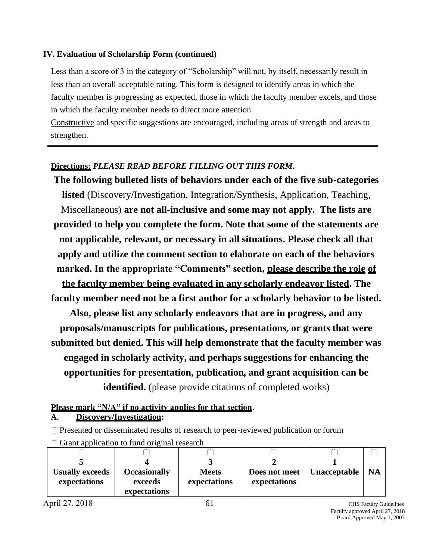#### **IV. Evaluation of Scholarship Form (continued)**

Less than a score of 3 in the category of "Scholarship" will not, by itself, necessarily result in less than an overall acceptable rating. This form is designed to identify areas in which the faculty member is progressing as expected, those in which the faculty member excels, and those in which the faculty member needs to direct more attention.

Constructive and specific suggestions are encouraged, including areas of strength and areas to strengthen.

#### **Directions:** *PLEASE READ BEFORE FILLING OUT THIS FORM.*

**The following bulleted lists of behaviors under each of the five sub-categories listed** (Discovery/Investigation, Integration/Synthesis, Application, Teaching, Miscellaneous) **are not all-inclusive and some may not apply. The lists are provided to help you complete the form. Note that some of the statements are not applicable, relevant, or necessary in all situations. Please check all that apply and utilize the comment section to elaborate on each of the behaviors marked. In the appropriate "Comments" section, please describe the role of the faculty member being evaluated in any scholarly endeavor listed. The faculty member need not be a first author for a scholarly behavior to be listed. Also, please list any scholarly endeavors that are in progress, and any proposals/manuscripts for publications, presentations, or grants that were submitted but denied. This will help demonstrate that the faculty member was engaged in scholarly activity, and perhaps suggestions for enhancing the opportunities for presentation, publication, and grant acquisition can be identified.** (please provide citations of completed works)

#### **Please mark "N/A" if no activity applies for that section**.

**A. Discovery/Investigation:**

 $\Box$  Presented or disseminated results of research to peer-reviewed publication or forum

| <b>Usually exceeds</b><br>expectations | <b>Occasionally</b><br>exceeds<br>expectations | <b>Meets</b><br>expectations | Does not meet<br>expectations | Unacceptable | <b>NA</b> |
|----------------------------------------|------------------------------------------------|------------------------------|-------------------------------|--------------|-----------|

 $\Box$  Grant application to fund original research

April 27, 2018 61 CHS Faculty Guidelines Faculty approved April 27, 2018 Board Approved May 1, 2007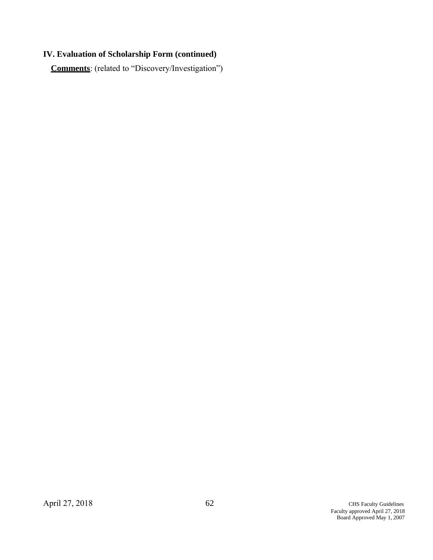# **IV. Evaluation of Scholarship Form (continued)**

**Comments**: (related to "Discovery/Investigation")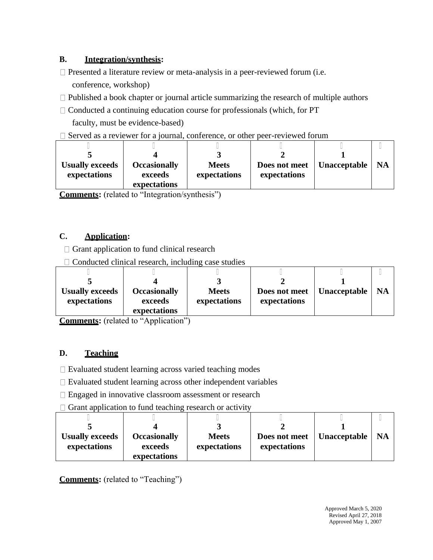# **B. Integration/synthesis:**

- $\Box$  Presented a literature review or meta-analysis in a peer-reviewed forum (i.e. conference, workshop)
- $\Box$  Published a book chapter or journal article summarizing the research of multiple authors
- $\Box$  Conducted a continuing education course for professionals (which, for PT faculty, must be evidence-based)
- $\square$  Served as a reviewer for a journal, conference, or other peer-reviewed forum

| <b>Usually exceeds</b><br>expectations | <b>Occasionally</b><br>exceeds | <b>Meets</b><br>expectations | Does not meet<br>expectations | <b>Unacceptable</b> | <b>NA</b> |
|----------------------------------------|--------------------------------|------------------------------|-------------------------------|---------------------|-----------|
|                                        | expectations                   |                              |                               |                     |           |

**Comments:** (related to "Integration/synthesis")

# **C. Application:**

 $\Box$  Grant application to fund clinical research

 $\Box$  Conducted clinical research, including case studies

| <b>Usually exceeds</b> | <b>Occasionally</b> | <b>Meets</b> | Does not meet | <b>Unacceptable</b> | <b>NA</b> |
|------------------------|---------------------|--------------|---------------|---------------------|-----------|
| expectations           | exceeds             | expectations | expectations  |                     |           |
|                        | expectations        |              |               |                     |           |

**Comments:** (related to "Application")

# **D. Teaching**

 $\Box$  Evaluated student learning across varied teaching modes

 $\Box$  Evaluated student learning across other independent variables

□ Engaged in innovative classroom assessment or research

 $\Box$  Grant application to fund teaching research or activity

| <b>Usually exceeds</b> | <b>Occasionally</b> | <b>Meets</b> | Does not meet | Unacceptable | <b>NA</b> |
|------------------------|---------------------|--------------|---------------|--------------|-----------|
| expectations           | exceeds             | expectations | expectations  |              |           |
|                        | expectations        |              |               |              |           |

**Comments:** (related to "Teaching")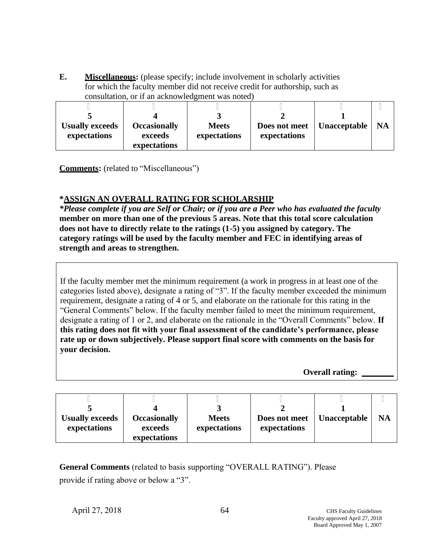**E. Miscellaneous:** (please specify; include involvement in scholarly activities for which the faculty member did not receive credit for authorship, such as consultation, or if an acknowledgment was noted)

| <b>Usually exceeds</b> | <b>Occasionally</b> | <b>Meets</b> | Does not meet | Unacceptable | <b>NA</b> |
|------------------------|---------------------|--------------|---------------|--------------|-----------|
| expectations           | exceeds             | expectations | expectations  |              |           |
|                        | expectations        |              |               |              |           |

**Comments:** (related to "Miscellaneous")

### **\*ASSIGN AN OVERALL RATING FOR SCHOLARSHIP**

*\*Please complete if you are Self or Chair; or if you are a Peer who has evaluated the faculty*  **member on more than one of the previous 5 areas. Note that this total score calculation does not have to directly relate to the ratings (1-5) you assigned by category. The category ratings will be used by the faculty member and FEC in identifying areas of strength and areas to strengthen.**

If the faculty member met the minimum requirement (a work in progress in at least one of the categories listed above), designate a rating of "3". If the faculty member exceeded the minimum requirement, designate a rating of 4 or 5, and elaborate on the rationale for this rating in the "General Comments" below. If the faculty member failed to meet the minimum requirement, designate a rating of 1 or 2, and elaborate on the rationale in the "Overall Comments" below. **If this rating does not fit with your final assessment of the candidate's performance, please rate up or down subjectively. Please support final score with comments on the basis for your decision.**

**Overall rating:** 

| <b>Usually exceeds</b><br>expectations | <b>Occasionally</b><br>exceeds<br>expectations | <b>Meets</b><br>expectations | Does not meet<br>expectations | Unacceptable | <b>NA</b> |
|----------------------------------------|------------------------------------------------|------------------------------|-------------------------------|--------------|-----------|

**General Comments** (related to basis supporting "OVERALL RATING"). Please provide if rating above or below a "3".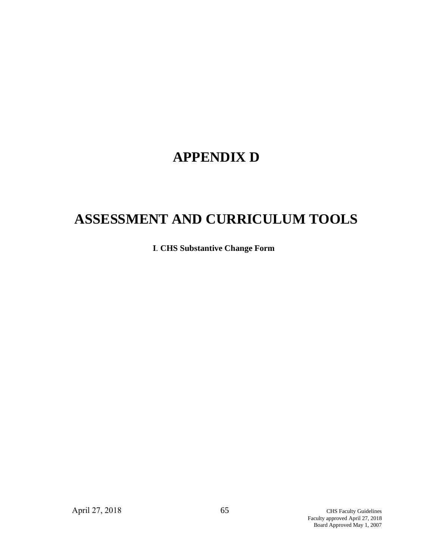# **APPENDIX D**

# **ASSESSMENT AND CURRICULUM TOOLS**

**I***.* **CHS Substantive Change Form**